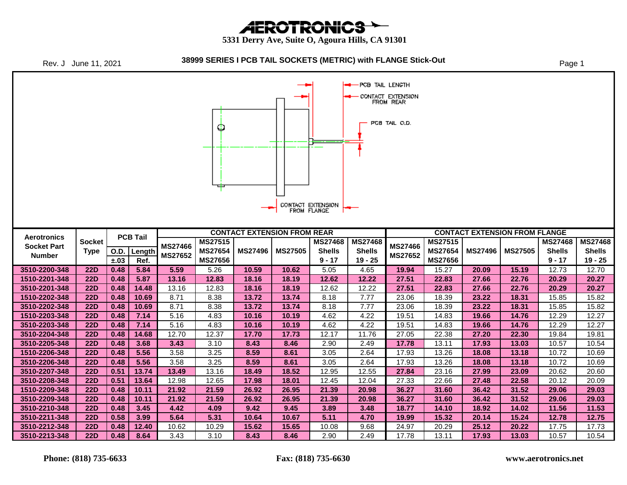**AEROTRONICS** 

 **5331 Derry Ave, Suite O, Agoura Hills, CA 91301**



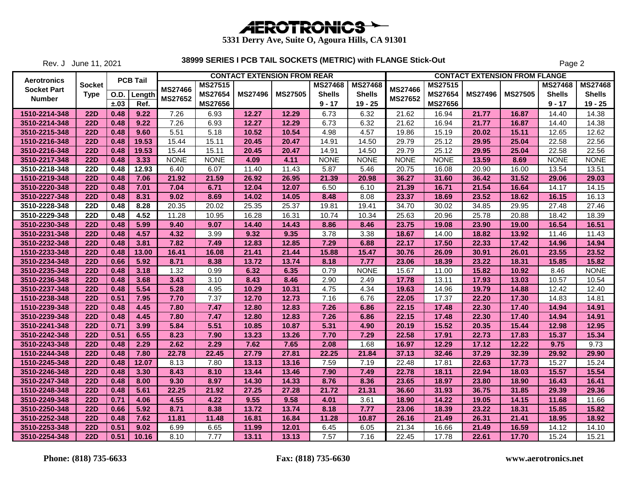

Rev. J June 11, 2021

|                    |             |      |                 |                |                |                | <b>CONTACT EXTENSION FROM REAR</b> |                |                |                |                |                | <b>CONTACT EXTENSION FROM FLANGE</b> |                |                |
|--------------------|-------------|------|-----------------|----------------|----------------|----------------|------------------------------------|----------------|----------------|----------------|----------------|----------------|--------------------------------------|----------------|----------------|
| <b>Aerotronics</b> | Socket      |      | <b>PCB Tail</b> | <b>MS27466</b> | <b>MS27515</b> |                |                                    | <b>MS27468</b> | <b>MS27468</b> | <b>MS27466</b> | <b>MS27515</b> |                |                                      | <b>MS27468</b> | <b>MS27468</b> |
| <b>Socket Part</b> | <b>Type</b> | O.D. | Length          | <b>MS27652</b> | <b>MS27654</b> | <b>MS27496</b> | <b>MS27505</b>                     | <b>Shells</b>  | <b>Shells</b>  | <b>MS27652</b> | <b>MS27654</b> | <b>MS27496</b> | <b>MS27505</b>                       | <b>Shells</b>  | <b>Shells</b>  |
| <b>Number</b>      |             | ±.03 | Ref.            |                | <b>MS27656</b> |                |                                    | $9 - 17$       | $19 - 25$      |                | <b>MS27656</b> |                |                                      | $9 - 17$       | $19 - 25$      |
| 1510-2214-348      | <b>22D</b>  | 0.48 | 9.22            | 7.26           | 6.93           | 12.27          | 12.29                              | 6.73           | 6.32           | 21.62          | 16.94          | 21.77          | 16.87                                | 14.40          | 14.38          |
| 3510-2214-348      | <b>22D</b>  | 0.48 | 9.22            | 7.26           | 6.93           | 12.27          | 12.29                              | 6.73           | 6.32           | 21.62          | 16.94          | 21.77          | 16.87                                | 14.40          | 14.38          |
| 3510-2215-348      | <b>22D</b>  | 0.48 | 9.60            | 5.51           | 5.18           | 10.52          | 10.54                              | 4.98           | 4.57           | 19.86          | 15.19          | 20.02          | 15.11                                | 12.65          | 12.62          |
| 1510-2216-348      | <b>22D</b>  | 0.48 | 19.53           | 15.44          | 15.11          | 20.45          | 20.47                              | 14.91          | 14.50          | 29.79          | 25.12          | 29.95          | 25.04                                | 22.58          | 22.56          |
| 3510-2216-348      | <b>22D</b>  | 0.48 | 19.53           | 15.44          | 15.11          | 20.45          | 20.47                              | 14.91          | 14.50          | 29.79          | 25.12          | 29.95          | 25.04                                | 22.58          | 22.56          |
| 3510-2217-348      | <b>22D</b>  | 0.48 | 3.33            | <b>NONE</b>    | <b>NONE</b>    | 4.09           | 4.11                               | <b>NONE</b>    | <b>NONE</b>    | <b>NONE</b>    | <b>NONE</b>    | 13.59          | 8.69                                 | <b>NONE</b>    | <b>NONE</b>    |
| 3510-2218-348      | <b>22D</b>  | 0.48 | 12.93           | 6.40           | 6.07           | 11.40          | 11.43                              | 5.87           | 5.46           | 20.75          | 16.08          | 20.90          | 16.00                                | 13.54          | 13.51          |
| 1510-2219-348      | <b>22D</b>  | 0.48 | 7.06            | 21.92          | 21.59          | 26.92          | 26.95                              | 21.39          | 20.98          | 36.27          | 31.60          | 36.42          | 31.52                                | 29.06          | 29.03          |
| 3510-2220-348      | <b>22D</b>  | 0.48 | 7.01            | 7.04           | 6.71           | 12.04          | 12.07                              | 6.50           | 6.10           | 21.39          | 16.71          | 21.54          | 16.64                                | 14.17          | 14.15          |
| 3510-2227-348      | 22D         | 0.48 | 8.31            | 9.02           | 8.69           | 14.02          | 14.05                              | 8.48           | 8.08           | 23.37          | 18.69          | 23.52          | 18.62                                | 16.15          | 16.13          |
| 3510-2228-348      | <b>22D</b>  | 0.48 | 8.28            | 20.35          | 20.02          | 25.35          | 25.37                              | 19.81          | 19.41          | 34.70          | 30.02          | 34.85          | 29.95                                | 27.48          | 27.46          |
| 3510-2229-348      | <b>22D</b>  | 0.48 | 4.52            | 11.28          | 10.95          | 16.28          | 16.31                              | 10.74          | 10.34          | 25.63          | 20.96          | 25.78          | 20.88                                | 18.42          | 18.39          |
| 3510-2230-348      | <b>22D</b>  | 0.48 | 5.99            | 9.40           | 9.07           | 14.40          | 14.43                              | 8.86           | 8.46           | 23.75          | 19.08          | 23.90          | 19.00                                | 16.54          | 16.51          |
| 3510-2231-348      | <b>22D</b>  | 0.48 | 4.57            | 4.32           | 3.99           | 9.32           | 9.35                               | 3.78           | 3.38           | 18.67          | 14.00          | 18.82          | 13.92                                | 11.46          | 11.43          |
| 3510-2232-348      | <b>22D</b>  | 0.48 | 3.81            | 7.82           | 7.49           | 12.83          | 12.85                              | 7.29           | 6.88           | 22.17          | 17.50          | 22.33          | 17.42                                | 14.96          | 14.94          |
| 1510-2233-348      | <b>22D</b>  | 0.48 | 13.00           | 16.41          | 16.08          | 21.41          | 21.44                              | 15.88          | 15.47          | 30.76          | 26.09          | 30.91          | 26.01                                | 23.55          | 23.52          |
| 3510-2234-348      | <b>22D</b>  | 0.66 | 5.92            | 8.71           | 8.38           | 13.72          | 13.74                              | 8.18           | 7.77           | 23.06          | 18.39          | 23.22          | 18.31                                | 15.85          | 15.82          |
| 3510-2235-348      | <b>22D</b>  | 0.48 | 3.18            | 1.32           | 0.99           | 6.32           | 6.35                               | 0.79           | <b>NONE</b>    | 15.67          | 11.00          | 15.82          | 10.92                                | 8.46           | <b>NONE</b>    |
| 3510-2236-348      | <b>22D</b>  | 0.48 | 3.68            | 3.43           | 3.10           | 8.43           | 8.46                               | 2.90           | 2.49           | 17.78          | 13.11          | 17.93          | 13.03                                | 10.57          | 10.54          |
| 3510-2237-348      | <b>22D</b>  | 0.48 | 5.54            | 5.28           | 4.95           | 10.29          | 10.31                              | 4.75           | 4.34           | 19.63          | 14.96          | 19.79          | 14.88                                | 12.42          | 12.40          |
| 1510-2238-348      | <b>22D</b>  | 0.51 | 7.95            | 7.70           | 7.37           | 12.70          | 12.73                              | 7.16           | 6.76           | 22.05          | 17.37          | 22.20          | 17.30                                | 14.83          | 14.81          |
| 1510-2239-348      | <b>22D</b>  | 0.48 | 4.45            | 7.80           | 7.47           | 12.80          | 12.83                              | 7.26           | 6.86           | 22.15          | 17.48          | 22.30          | 17.40                                | 14.94          | 14.91          |
| 3510-2239-348      | <b>22D</b>  | 0.48 | 4.45            | 7.80           | 7.47           | 12.80          | 12.83                              | 7.26           | 6.86           | 22.15          | 17.48          | 22.30          | 17.40                                | 14.94          | 14.91          |
| 3510-2241-348      | <b>22D</b>  | 0.71 | 3.99            | 5.84           | 5.51           | 10.85          | 10.87                              | 5.31           | 4.90           | 20.19          | 15.52          | 20.35          | 15.44                                | 12.98          | 12.95          |
| 3510-2242-348      | <b>22D</b>  | 0.51 | 6.55            | 8.23           | 7.90           | 13.23          | 13.26                              | 7.70           | 7.29           | 22.58          | 17.91          | 22.73          | 17.83                                | 15.37          | 15.34          |
| 3510-2243-348      | <b>22D</b>  | 0.48 | 2.29            | 2.62           | 2.29           | 7.62           | 7.65                               | 2.08           | 1.68           | 16.97          | 12.29          | 17.12          | 12.22                                | 9.75           | 9.73           |
| 1510-2244-348      | <b>22D</b>  | 0.48 | 7.80            | 22.78          | 22.45          | 27.79          | 27.81                              | 22.25          | 21.84          | 37.13          | 32.46          | 37.29          | 32.39                                | 29.92          | 29.90          |
| 1510-2245-348      | <b>22D</b>  | 0.48 | 12.07           | 8.13           | 7.80           | 13.13          | 13.16                              | 7.59           | 7.19           | 22.48          | 17.81          | 22.63          | 17.73                                | 15.27          | 15.24          |
| 3510-2246-348      | <b>22D</b>  | 0.48 | 3.30            | 8.43           | 8.10           | 13.44          | 13.46                              | 7.90           | 7.49           | 22.78          | 18.11          | 22.94          | 18.03                                | 15.57          | 15.54          |
| 3510-2247-348      | <b>22D</b>  | 0.48 | 8.00            | 9.30           | 8.97           | 14.30          | 14.33                              | 8.76           | 8.36           | 23.65          | 18.97          | 23.80          | 18.90                                | 16.43          | 16.41          |
| 1510-2248-348      | <b>22D</b>  | 0.48 | 5.61            | 22.25          | 21.92          | 27.25          | 27.28                              | 21.72          | 21.31          | 36.60          | 31.93          | 36.75          | 31.85                                | 29.39          | 29.36          |
| 3510-2249-348      | <b>22D</b>  | 0.71 | 4.06            | 4.55           | 4.22           | 9.55           | 9.58                               | 4.01           | 3.61           | 18.90          | 14.22          | 19.05          | 14.15                                | 11.68          | 11.66          |
| 3510-2250-348      | <b>22D</b>  | 0.66 | 5.92            | 8.71           | 8.38           | 13.72          | 13.74                              | 8.18           | 7.77           | 23.06          | 18.39          | 23.22          | 18.31                                | 15.85          | 15.82          |
| 3510-2252-348      | <b>22D</b>  | 0.48 | 7.62            | 11.81          | 11.48          | 16.81          | 16.84                              | 11.28          | 10.87          | 26.16          | 21.49          | 26.31          | 21.41                                | 18.95          | 18.92          |
| 3510-2253-348      | <b>22D</b>  | 0.51 | 9.02            | 6.99           | 6.65           | 11.99          | 12.01                              | 6.45           | 6.05           | 21.34          | 16.66          | 21.49          | 16.59                                | 14.12          | 14.10          |
| 3510-2254-348      | <b>22D</b>  | 0.51 | 10.16           | 8.10           | 7.77           | 13.11          | 13.13                              | 7.57           | 7.16           | 22.45          | 17.78          | 22.61          | 17.70                                | 15.24          | 15.21          |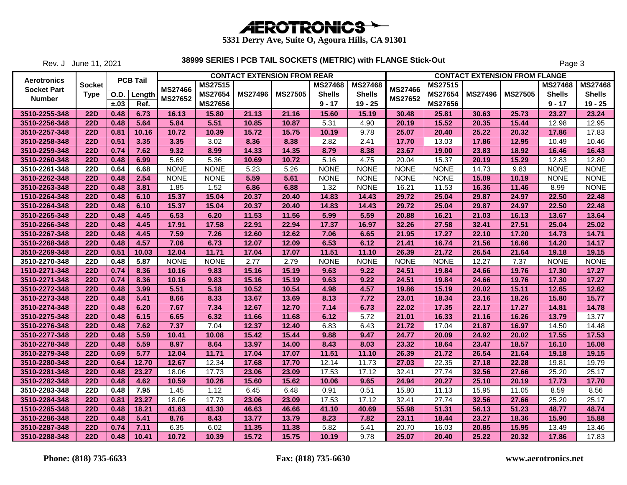

Rev. J June 11, 2021

|                                          |                  |             |                 |                |                |                | <b>CONTACT EXTENSION FROM REAR</b> |                |                |                |                |                | <b>CONTACT EXTENSION FROM FLANGE</b> |                |                |
|------------------------------------------|------------------|-------------|-----------------|----------------|----------------|----------------|------------------------------------|----------------|----------------|----------------|----------------|----------------|--------------------------------------|----------------|----------------|
| <b>Aerotronics</b><br><b>Socket Part</b> | <b>Socket</b>    |             | <b>PCB Tail</b> | <b>MS27466</b> | <b>MS27515</b> |                |                                    | <b>MS27468</b> | <b>MS27468</b> | <b>MS27466</b> | <b>MS27515</b> |                |                                      | <b>MS27468</b> | <b>MS27468</b> |
| Number                                   | <b>Type</b>      | <b>O.D.</b> | Length          | <b>MS27652</b> | <b>MS27654</b> | <b>MS27496</b> | <b>MS27505</b>                     | <b>Shells</b>  | <b>Shells</b>  | <b>MS27652</b> | <b>MS27654</b> | <b>MS27496</b> | <b>MS27505</b>                       | <b>Shells</b>  | <b>Shells</b>  |
|                                          |                  | ±.03        | Ref.            |                | MS27656        |                |                                    | $9 - 17$       | $19 - 25$      |                | MS27656        |                |                                      | $9 - 17$       | $19 - 25$      |
| 3510-2255-348                            | <b>22D</b>       | 0.48        | 6.73            | 16.13          | 15.80          | 21.13          | 21.16                              | 15.60          | 15.19          | 30.48          | 25.81          | 30.63          | 25.73                                | 23.27          | 23.24          |
| 3510-2256-348                            | <b>22D</b>       | 0.48        | 5.64            | 5.84           | 5.51           | 10.85          | 10.87                              | 5.31           | 4.90           | 20.19          | 15.52          | 20.35          | 15.44                                | 12.98          | 12.95          |
| 3510-2257-348                            | <b>22D</b>       | 0.81        | 10.16           | 10.72          | 10.39          | 15.72          | 15.75                              | 10.19          | 9.78           | 25.07          | 20.40          | 25.22          | 20.32                                | 17.86          | 17.83          |
| 3510-2258-348                            | <b>22D</b>       | 0.51        | 3.35            | 3.35           | 3.02           | 8.36           | 8.38                               | 2.82           | 2.41           | 17.70          | 13.03          | 17.86          | 12.95                                | 10.49          | 10.46          |
| 3510-2259-348                            | <b>22D</b>       | 0.74        | 7.62            | 9.32           | 8.99           | 14.33          | 14.35                              | 8.79           | 8.38           | 23.67          | 19.00          | 23.83          | 18.92                                | 16.46          | 16.43          |
| 3510-2260-348                            | <b>22D</b>       | 0.48        | 6.99            | 5.69           | 5.36           | 10.69          | 10.72                              | 5.16           | 4.75           | 20.04          | 15.37          | 20.19          | 15.29                                | 12.83          | 12.80          |
| 3510-2261-348                            | <b>22D</b>       | 0.64        | 6.68            | <b>NONE</b>    | <b>NONE</b>    | 5.23           | 5.26                               | <b>NONE</b>    | <b>NONE</b>    | <b>NONE</b>    | <b>NONE</b>    | 14.73          | 9.83                                 | <b>NONE</b>    | <b>NONE</b>    |
| 3510-2262-348                            | $\overline{22D}$ | 0.48        | 2.54            | <b>NONE</b>    | <b>NONE</b>    | 5.59           | 5.61                               | <b>NONE</b>    | <b>NONE</b>    | <b>NONE</b>    | <b>NONE</b>    | 15.09          | 10.19                                | <b>NONE</b>    | <b>NONE</b>    |
| 3510-2263-348                            | <b>22D</b>       | 0.48        | 3.81            | 1.85           | 1.52           | 6.86           | 6.88                               | 1.32           | <b>NONE</b>    | 16.21          | 11.53          | 16.36          | 11.46                                | 8.99           | <b>NONE</b>    |
| 1510-2264-348                            | <b>22D</b>       | 0.48        | 6.10            | 15.37          | 15.04          | 20.37          | 20.40                              | 14.83          | 14.43          | 29.72          | 25.04          | 29.87          | 24.97                                | 22.50          | 22.48          |
| 3510-2264-348                            | <b>22D</b>       | 0.48        | 6.10            | 15.37          | 15.04          | 20.37          | 20.40                              | 14.83          | 14.43          | 29.72          | 25.04          | 29.87          | 24.97                                | 22.50          | 22.48          |
| 3510-2265-348                            | <b>22D</b>       | 0.48        | 4.45            | 6.53           | 6.20           | 11.53          | 11.56                              | 5.99           | 5.59           | 20.88          | 16.21          | 21.03          | 16.13                                | 13.67          | 13.64          |
| 3510-2266-348                            | <b>22D</b>       | 0.48        | 4.45            | 17.91          | 17.58          | 22.91          | 22.94                              | 17.37          | 16.97          | 32.26          | 27.58          | 32.41          | 27.51                                | 25.04          | 25.02          |
| 3510-2267-348                            | <b>22D</b>       | 0.48        | 4.45            | 7.59           | 7.26           | 12.60          | 12.62                              | 7.06           | 6.65           | 21.95          | 17.27          | 22.10          | 17.20                                | 14.73          | 14.71          |
| 3510-2268-348                            | <b>22D</b>       | 0.48        | 4.57            | 7.06           | 6.73           | 12.07          | 12.09                              | 6.53           | 6.12           | 21.41          | 16.74          | 21.56          | 16.66                                | 14.20          | 14.17          |
| 3510-2269-348                            | <b>22D</b>       | 0.51        | 10.03           | 12.04          | 11.71          | 17.04          | 17.07                              | 11.51          | 11.10          | 26.39          | 21.72          | 26.54          | 21.64                                | 19.18          | 19.15          |
| 3510-2270-348                            | 22D              | 0.48        | 5.87            | <b>NONE</b>    | <b>NONE</b>    | 2.77           | 2.79                               | <b>NONE</b>    | <b>NONE</b>    | <b>NONE</b>    | <b>NONE</b>    | 12.27          | 7.37                                 | <b>NONE</b>    | <b>NONE</b>    |
| 1510-2271-348                            | <b>22D</b>       | 0.74        | 8.36            | 10.16          | 9.83           | 15.16          | 15.19                              | 9.63           | 9.22           | 24.51          | 19.84          | 24.66          | 19.76                                | 17.30          | 17.27          |
| 3510-2271-348                            | <b>22D</b>       | 0.74        | 8.36            | 10.16          | 9.83           | 15.16          | 15.19                              | 9.63           | 9.22           | 24.51          | 19.84          | 24.66          | 19.76                                | 17.30          | 17.27          |
| 3510-2272-348                            | <b>22D</b>       | 0.48        | 3.99            | 5.51           | 5.18           | 10.52          | 10.54                              | 4.98           | 4.57           | 19.86          | 15.19          | 20.02          | 15.11                                | 12.65          | 12.62          |
| 3510-2273-348                            | <b>22D</b>       | 0.48        | 5.41            | 8.66           | 8.33           | 13.67          | 13.69                              | 8.13           | 7.72           | 23.01          | 18.34          | 23.16          | 18.26                                | 15.80          | 15.77          |
| 3510-2274-348                            | <b>22D</b>       | 0.48        | 6.20            | 7.67           | 7.34           | 12.67          | 12.70                              | 7.14           | 6.73           | 22.02          | 17.35          | 22.17          | 17.27                                | 14.81          | 14.78          |
| 3510-2275-348                            | <b>22D</b>       | 0.48        | 6.15            | 6.65           | 6.32           | 11.66          | 11.68                              | 6.12           | 5.72           | 21.01          | 16.33          | 21.16          | 16.26                                | 13.79          | 13.77          |
| 3510-2276-348                            | <b>22D</b>       | 0.48        | 7.62            | 7.37           | 7.04           | 12.37          | 12.40                              | 6.83           | 6.43           | 21.72          | 17.04          | 21.87          | 16.97                                | 14.50          | 14.48          |
| 3510-2277-348                            | <b>22D</b>       | 0.48        | 5.59            | 10.41          | 10.08          | 15.42          | 15.44                              | 9.88           | 9.47           | 24.77          | 20.09          | 24.92          | 20.02                                | 17.55          | 17.53          |
| 3510-2278-348                            | <b>22D</b>       | 0.48        | 5.59            | 8.97           | 8.64           | 13.97          | 14.00                              | 8.43           | 8.03           | 23.32          | 18.64          | 23.47          | 18.57                                | 16.10          | 16.08          |
| 3510-2279-348                            | <b>22D</b>       | 0.69        | 5.77            | 12.04          | 11.71          | 17.04          | 17.07                              | 11.51          | 11.10          | 26.39          | 21.72          | 26.54          | 21.64                                | 19.18          | 19.15          |
| 3510-2280-348                            | <b>22D</b>       | 0.64        | 12.70           | 12.67          | 12.34          | 17.68          | 17.70                              | 12.14          | 11.73          | 27.03          | 22.35          | 27.18          | 22.28                                | 19.81          | 19.79          |
| 3510-2281-348                            | <b>22D</b>       | 0.48        | 23.27           | 18.06          | 17.73          | 23.06          | 23.09                              | 17.53          | 17.12          | 32.41          | 27.74          | 32.56          | 27.66                                | 25.20          | 25.17          |
| 3510-2282-348                            | <b>22D</b>       | 0.48        | 4.62            | 10.59          | 10.26          | 15.60          | 15.62                              | 10.06          | 9.65           | 24.94          | 20.27          | 25.10          | 20.19                                | 17.73          | 17.70          |
| 3510-2283-348                            | <b>22D</b>       | 0.48        | 7.95            | 1.45           | 1.12           | 6.45           | 6.48                               | 0.91           | 0.51           | 15.80          | 11.13          | 15.95          | 11.05                                | 8.59           | 8.56           |
| 3510-2284-348                            | <b>22D</b>       | 0.81        | 23.27           | 18.06          | 17.73          | 23.06          | 23.09                              | 17.53          | 17.12          | 32.41          | 27.74          | 32.56          | 27.66                                | 25.20          | 25.17          |
| 1510-2285-348                            | <b>22D</b>       | 0.48        | 18.21           | 41.63          | 41.30          | 46.63          | 46.66                              | 41.10          | 40.69          | 55.98          | 51.31          | 56.13          | 51.23                                | 48.77          | 48.74          |
| 3510-2286-348                            | <b>22D</b>       | 0.48        | 5.41            | 8.76           | 8.43           | 13.77          | 13.79                              | 8.23           | 7.82           | 23.11          | 18.44          | 23.27          | 18.36                                | 15.90          | 15.88          |
| 3510-2287-348                            | <b>22D</b>       | 0.74        | 7.11            | 6.35           | 6.02           | 11.35          | 11.38                              | 5.82           | 5.41           | 20.70          | 16.03          | 20.85          | 15.95                                | 13.49          | 13.46          |
| 3510-2288-348                            | <b>22D</b>       | 0.48        | 10.41           | 10.72          | 10.39          | 15.72          | 15.75                              | 10.19          | 9.78           | 25.07          | 20.40          | 25.22          | 20.32                                | 17.86          | 17.83          |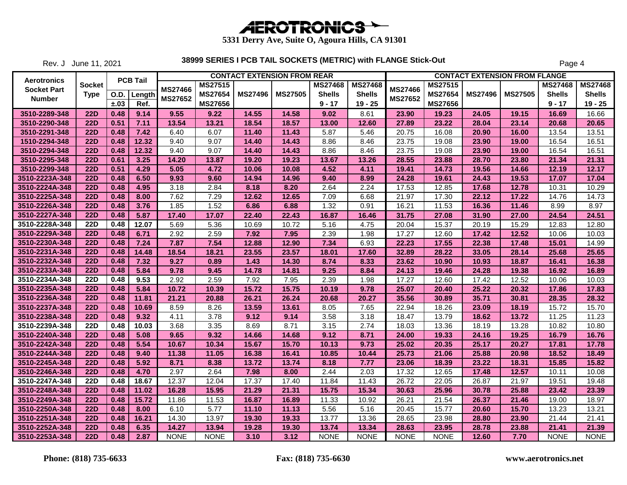

Rev. J June 11, 2021

|                    |                  |             |                 |                |                |                | <b>CONTACT EXTENSION FROM REAR</b> |                |                |             |                |                | <b>CONTACT EXTENSION FROM FLANGE</b> |                |                |
|--------------------|------------------|-------------|-----------------|----------------|----------------|----------------|------------------------------------|----------------|----------------|-------------|----------------|----------------|--------------------------------------|----------------|----------------|
| Aerotronics        | <b>Socket</b>    |             | <b>PCB Tail</b> | <b>MS27466</b> | <b>MS27515</b> |                |                                    | <b>MS27468</b> | <b>MS27468</b> | MS27466     | <b>MS27515</b> |                |                                      | <b>MS27468</b> | <b>MS27468</b> |
| <b>Socket Part</b> | <b>Type</b>      | <b>O.D.</b> | Length          | <b>MS27652</b> | <b>MS27654</b> | <b>MS27496</b> | <b>MS27505</b>                     | <b>Shells</b>  | <b>Shells</b>  | MS27652     | <b>MS27654</b> | <b>MS27496</b> | <b>MS27505</b>                       | <b>Shells</b>  | <b>Shells</b>  |
| <b>Number</b>      |                  | ±.03        | Ref.            |                | <b>MS27656</b> |                |                                    | $9 - 17$       | $19 - 25$      |             | <b>MS27656</b> |                |                                      | $9 - 17$       | $19 - 25$      |
| 3510-2289-348      | <b>22D</b>       | 0.48        | 9.14            | 9.55           | 9.22           | 14.55          | 14.58                              | 9.02           | 8.61           | 23.90       | 19.23          | 24.05          | 19.15                                | 16.69          | 16.66          |
| 3510-2290-348      | <b>22D</b>       | 0.51        | 7.11            | 13.54          | 13.21          | 18.54          | 18.57                              | 13.00          | 12.60          | 27.89       | 23.22          | 28.04          | 23.14                                | 20.68          | 20.65          |
| 3510-2291-348      | <b>22D</b>       | 0.48        | 7.42            | 6.40           | 6.07           | 11.40          | 11.43                              | 5.87           | 5.46           | 20.75       | 16.08          | 20.90          | 16.00                                | 13.54          | 13.51          |
| 1510-2294-348      | <b>22D</b>       | 0.48        | 12.32           | 9.40           | 9.07           | 14.40          | 14.43                              | 8.86           | 8.46           | 23.75       | 19.08          | 23.90          | 19.00                                | 16.54          | 16.51          |
| 3510-2294-348      | <b>22D</b>       | 0.48        | 12.32           | 9.40           | 9.07           | 14.40          | 14.43                              | 8.86           | 8.46           | 23.75       | 19.08          | 23.90          | 19.00                                | 16.54          | 16.51          |
| 3510-2295-348      | 22D              | 0.61        | 3.25            | 14.20          | 13.87          | 19.20          | 19.23                              | 13.67          | 13.26          | 28.55       | 23.88          | 28.70          | 23.80                                | 21.34          | 21.31          |
| 3510-2299-348      | <b>22D</b>       | 0.51        | 4.29            | 5.05           | 4.72           | 10.06          | 10.08                              | 4.52           | 4.11           | 19.41       | 14.73          | 19.56          | 14.66                                | 12.19          | 12.17          |
| 3510-2223A-348     | <b>22D</b>       | 0.48        | 6.50            | 9.93           | 9.60           | 14.94          | 14.96                              | 9.40           | 8.99           | 24.28       | 19.61          | 24.43          | 19.53                                | 17.07          | 17.04          |
| 3510-2224A-348     | <b>22D</b>       | 0.48        | 4.95            | 3.18           | 2.84           | 8.18           | 8.20                               | 2.64           | 2.24           | 17.53       | 12.85          | 17.68          | 12.78                                | 10.31          | 10.29          |
| 3510-2225A-348     | <b>22D</b>       | 0.48        | 8.00            | 7.62           | 7.29           | 12.62          | 12.65                              | 7.09           | 6.68           | 21.97       | 17.30          | 22.12          | 17.22                                | 14.76          | 14.73          |
| 3510-2226A-348     | <b>22D</b>       | 0.48        | 3.76            | 1.85           | 1.52           | 6.86           | 6.88                               | 1.32           | 0.91           | 16.21       | 11.53          | 16.36          | 11.46                                | 8.99           | 8.97           |
| 3510-2227A-348     | <b>22D</b>       | 0.48        | 5.87            | 17.40          | 17.07          | 22.40          | 22.43                              | 16.87          | 16.46          | 31.75       | 27.08          | 31.90          | 27.00                                | 24.54          | 24.51          |
| 3510-2228A-348     | 22D              | 0.48        | 12.07           | 5.69           | 5.36           | 10.69          | 10.72                              | 5.16           | 4.75           | 20.04       | 15.37          | 20.19          | 15.29                                | 12.83          | 12.80          |
| 3510-2229A-348     | <b>22D</b>       | 0.48        | 6.71            | 2.92           | 2.59           | 7.92           | 7.95                               | 2.39           | 1.98           | 17.27       | 12.60          | 17.42          | 12.52                                | 10.06          | 10.03          |
| 3510-2230A-348     | <b>22D</b>       | 0.48        | 7.24            | 7.87           | 7.54           | 12.88          | 12.90                              | 7.34           | 6.93           | 22.23       | 17.55          | 22.38          | 17.48                                | 15.01          | 14.99          |
| 3510-2231A-348     | <b>22D</b>       | 0.48        | 14.48           | 18.54          | 18.21          | 23.55          | 23.57                              | 18.01          | 17.60          | 32.89       | 28.22          | 33.05          | 28.14                                | 25.68          | 25.65          |
| 3510-2232A-348     | <b>22D</b>       | 0.48        | 7.32            | 9.27           | 0.89           | 1.43           | 14.30                              | 8.74           | 8.33           | 23.62       | 10.90          | 10.93          | 18.87                                | 16.41          | 16.38          |
| 3510-2233A-348     | <b>22D</b>       | 0.48        | 5.84            | 9.78           | 9.45           | 14.78          | 14.81                              | 9.25           | 8.84           | 24.13       | 19.46          | 24.28          | 19.38                                | 16.92          | 16.89          |
| 3510-2234A-348     | <b>22D</b>       | 0.48        | 9.53            | 2.92           | 2.59           | 7.92           | 7.95                               | 2.39           | 1.98           | 17.27       | 12.60          | 17.42          | 12.52                                | 10.06          | 10.03          |
| 3510-2235A-348     | <b>22D</b>       | 0.48        | 5.84            | 10.72          | 10.39          | 15.72          | 15.75                              | 10.19          | 9.78           | 25.07       | 20.40          | 25.22          | 20.32                                | 17.86          | 17.83          |
| 3510-2236A-348     | <b>22D</b>       | 0.48        | 11.81           | 21.21          | 20.88          | 26.21          | 26.24                              | 20.68          | 20.27          | 35.56       | 30.89          | 35.71          | 30.81                                | 28.35          | 28.32          |
| 3510-2237A-348     | <b>22D</b>       | 0.48        | 10.69           | 8.59           | 8.26           | 13.59          | 13.61                              | 8.05           | 7.65           | 22.94       | 18.26          | 23.09          | 18.19                                | 15.72          | 15.70          |
| 3510-2238A-348     | <b>22D</b>       | 0.48        | 9.32            | 4.11           | 3.78           | 9.12           | 9.14                               | 3.58           | 3.18           | 18.47       | 13.79          | 18.62          | 13.72                                | 11.25          | 11.23          |
| 3510-2239A-348     | $\overline{22D}$ | 0.48        | 10.03           | 3.68           | 3.35           | 8.69           | 8.71                               | 3.15           | 2.74           | 18.03       | 13.36          | 18.19          | 13.28                                | 10.82          | 10.80          |
| 3510-2240A-348     | <b>22D</b>       | 0.48        | 5.08            | 9.65           | 9.32           | 14.66          | 14.68                              | 9.12           | 8.71           | 24.00       | 19.33          | 24.16          | 19.25                                | 16.79          | 16.76          |
| 3510-2242A-348     | <b>22D</b>       | 0.48        | 5.54            | 10.67          | 10.34          | 15.67          | 15.70                              | 10.13          | 9.73           | 25.02       | 20.35          | 25.17          | 20.27                                | 17.81          | 17.78          |
| 3510-2244A-348     | <b>22D</b>       | 0.48        | 9.40            | 11.38          | 11.05          | 16.38          | 16.41                              | 10.85          | 10.44          | 25.73       | 21.06          | 25.88          | 20.98                                | 18.52          | 18.49          |
| 3510-2245A-348     | <b>22D</b>       | 0.48        | 5.92            | 8.71           | 8.38           | 13.72          | 13.74                              | 8.18           | 7.77           | 23.06       | 18.39          | 23.22          | 18.31                                | 15.85          | 15.82          |
| 3510-2246A-348     | <b>22D</b>       | 0.48        | 4.70            | 2.97           | 2.64           | 7.98           | 8.00                               | 2.44           | 2.03           | 17.32       | 12.65          | 17.48          | 12.57                                | 10.11          | 10.08          |
| 3510-2247A-348     | <b>22D</b>       | 0.48        | 18.67           | 12.37          | 12.04          | 17.37          | 17.40                              | 11.84          | 11.43          | 26.72       | 22.05          | 26.87          | 21.97                                | 19.51          | 19.48          |
| 3510-2248A-348     | <b>22D</b>       | 0.48        | 11.02           | 16.28          | 15.95          | 21.29          | 21.31                              | 15.75          | 15.34          | 30.63       | 25.96          | 30.78          | 25.88                                | 23.42          | 23.39          |
| 3510-2249A-348     | <b>22D</b>       | 0.48        | 15.72           | 11.86          | 11.53          | 16.87          | 16.89                              | 11.33          | 10.92          | 26.21       | 21.54          | 26.37          | 21.46                                | 19.00          | 18.97          |
| 3510-2250A-348     | <b>22D</b>       | 0.48        | 8.00            | 6.10           | 5.77           | 11.10          | 11.13                              | 5.56           | 5.16           | 20.45       | 15.77          | 20.60          | 15.70                                | 13.23          | 13.21          |
| 3510-2251A-348     | <b>22D</b>       | 0.48        | 16.21           | 14.30          | 13.97          | 19.30          | 19.33                              | 13.77          | 13.36          | 28.65       | 23.98          | 28.80          | 23.90                                | 21.44          | 21.41          |
| 3510-2252A-348     | <b>22D</b>       | 0.48        | 6.35            | 14.27          | 13.94          | 19.28          | 19.30                              | 13.74          | 13.34          | 28.63       | 23.95          | 28.78          | 23.88                                | 21.41          | 21.39          |
| 3510-2253A-348     | <b>22D</b>       | 0.48        | 2.87            | <b>NONE</b>    | <b>NONE</b>    | 3.10           | 3.12                               | <b>NONE</b>    | <b>NONE</b>    | <b>NONE</b> | <b>NONE</b>    | 12.60          | 7.70                                 | <b>NONE</b>    | <b>NONE</b>    |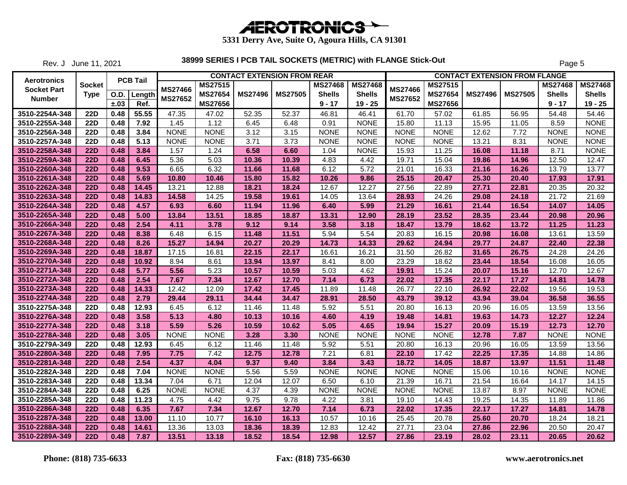

Rev. J June 11, 2021

|                    |               |      |                 |             |                | <b>CONTACT EXTENSION FROM REAR</b> |                |                |                |                |                     |                | <b>CONTACT EXTENSION FROM FLANGE</b> |                |                |
|--------------------|---------------|------|-----------------|-------------|----------------|------------------------------------|----------------|----------------|----------------|----------------|---------------------|----------------|--------------------------------------|----------------|----------------|
| Aerotronics        | <b>Socket</b> |      | <b>PCB Tail</b> |             | <b>MS27515</b> |                                    |                | <b>MS27468</b> | <b>MS27468</b> |                | MS27515             |                |                                      | <b>MS27468</b> | <b>MS27468</b> |
| <b>Socket Part</b> | <b>Type</b>   | O.D. | Length          | MS27466     | <b>MS27654</b> | <b>MS27496</b>                     | <b>MS27505</b> | <b>Shells</b>  | <b>Shells</b>  | <b>MS27466</b> | <b>MS27654</b>      | <b>MS27496</b> | <b>MS27505</b>                       | <b>Shells</b>  | <b>Shells</b>  |
| <b>Number</b>      |               | ±.03 | Ref.            | MS27652     | <b>MS27656</b> |                                    |                | $9 - 17$       | $19 - 25$      | MS27652        | MS27656             |                |                                      | $9 - 17$       | $19 - 25$      |
| 3510-2254A-348     | <b>22D</b>    | 0.48 | 55.55           | 47.35       | 47.02          | 52.35                              | 52.37          | 46.81          | 46.41          | 61.70          | 57.02               | 61.85          | 56.95                                | 54.48          | 54.46          |
| 3510-2255A-348     | 22D           | 0.48 | 7.92            | 1.45        | 1.12           | 6.45                               | 6.48           | 0.91           | <b>NONE</b>    | 15.80          | 11.13               | 15.95          | 11.05                                | 8.59           | <b>NONE</b>    |
| 3510-2256A-348     | <b>22D</b>    | 0.48 | 3.84            | <b>NONE</b> | <b>NONE</b>    | 3.12                               | 3.15           | <b>NONE</b>    | <b>NONE</b>    | <b>NONE</b>    | <b>NONE</b>         | 12.62          | 7.72                                 | <b>NONE</b>    | <b>NONE</b>    |
| 3510-2257A-348     | <b>22D</b>    | 0.48 | 5.13            | <b>NONE</b> | <b>NONE</b>    | 3.71                               | 3.73           | <b>NONE</b>    | <b>NONE</b>    | <b>NONE</b>    | <b>NONE</b>         | 13.21          | 8.31                                 | <b>NONE</b>    | <b>NONE</b>    |
| 3510-2258A-348     | <b>22D</b>    | 0.48 | 3.84            | 1.57        | 1.24           | 6.58                               | 6.60           | 1.04           | <b>NONE</b>    | 15.93          | $\overline{1}$ 1.25 | 16.08          | 11.18                                | 8.71           | <b>NONE</b>    |
| 3510-2259A-348     | <b>22D</b>    | 0.48 | 6.45            | 5.36        | 5.03           | 10.36                              | 10.39          | 4.83           | 4.42           | 19.71          | 15.04               | 19.86          | 14.96                                | 12.50          | 12.47          |
| 3510-2260A-348     | <b>22D</b>    | 0.48 | 9.53            | 6.65        | 6.32           | 11.66                              | 11.68          | 6.12           | 5.72           | 21.01          | 16.33               | 21.16          | 16.26                                | 13.79          | 13.77          |
| 3510-2261A-348     | <b>22D</b>    | 0.48 | 5.69            | 10.80       | 10.46          | 15.80                              | 15.82          | 10.26          | 9.86           | 25.15          | 20.47               | 25.30          | 20.40                                | 17.93          | 17.91          |
| 3510-2262A-348     | <b>22D</b>    | 0.48 | 14.45           | 13.21       | 12.88          | 18.21                              | 18.24          | 12.67          | 12.27          | 27.56          | 22.89               | 27.71          | 22.81                                | 20.35          | 20.32          |
| 3510-2263A-348     | <b>22D</b>    | 0.48 | 14.83           | 14.58       | 14.25          | 19.58                              | 19.61          | 14.05          | 13.64          | 28.93          | 24.26               | 29.08          | 24.18                                | 21.72          | 21.69          |
| 3510-2264A-348     | <b>22D</b>    | 0.48 | 4.57            | 6.93        | 6.60           | 11.94                              | 11.96          | 6.40           | 5.99           | 21.29          | 16.61               | 21.44          | 16.54                                | 14.07          | 14.05          |
| 3510-2265A-348     | <b>22D</b>    | 0.48 | 5.00            | 13.84       | 13.51          | 18.85                              | 18.87          | 13.31          | 12.90          | 28.19          | 23.52               | 28.35          | 23.44                                | 20.98          | 20.96          |
| 3510-2266A-348     | <b>22D</b>    | 0.48 | 2.54            | 4.11        | 3.78           | 9.12                               | 9.14           | 3.58           | 3.18           | 18.47          | 13.79               | 18.62          | 13.72                                | 11.25          | 11.23          |
| 3510-2267A-348     | <b>22D</b>    | 0.48 | 8.38            | 6.48        | 6.15           | 11.48                              | 11.51          | 5.94           | 5.54           | 20.83          | 16.15               | 20.98          | 16.08                                | 13.61          | 13.59          |
| 3510-2268A-348     | <b>22D</b>    | 0.48 | 8.26            | 15.27       | 14.94          | 20.27                              | 20.29          | 14.73          | 14.33          | 29.62          | 24.94               | 29.77          | 24.87                                | 22.40          | 22.38          |
| 3510-2269A-348     | <b>22D</b>    | 0.48 | 18.87           | 17.15       | 16.81          | 22.15                              | 22.17          | 16.61          | 16.21          | 31.50          | 26.82               | 31.65          | 26.75                                | 24.28          | 24.26          |
| 3510-2270A-348     | <b>22D</b>    | 0.48 | 10.92           | 8.94        | 8.61           | 13.94                              | 13.97          | 8.41           | 8.00           | 23.29          | 18.62               | 23.44          | 18.54                                | 16.08          | 16.05          |
| 3510-2271A-348     | <b>22D</b>    | 0.48 | 5.77            | 5.56        | 5.23           | 10.57                              | 10.59          | 5.03           | 4.62           | 19.91          | 15.24               | 20.07          | 15.16                                | 12.70          | 12.67          |
| 3510-2272A-348     | <b>22D</b>    | 0.48 | 2.54            | 7.67        | 7.34           | 12.67                              | 12.70          | 7.14           | 6.73           | 22.02          | 17.35               | 22.17          | 17.27                                | 14.81          | 14.78          |
| 3510-2273A-348     | <b>22D</b>    | 0.48 | 14.33           | 12.42       | 12.09          | 17.42                              | 17.45          | 11.89          | 11.48          | 26.77          | 22.10               | 26.92          | 22.02                                | 19.56          | 19.53          |
| 3510-2274A-348     | <b>22D</b>    | 0.48 | 2.79            | 29.44       | 29.11          | 34.44                              | 34.47          | 28.91          | 28.50          | 43.79          | 39.12               | 43.94          | 39.04                                | 36.58          | 36.55          |
| 3510-2275A-348     | <b>22D</b>    | 0.48 | 12.93           | 6.45        | 6.12           | 11.46                              | 11.48          | 5.92           | 5.51           | 20.80          | 16.13               | 20.96          | 16.05                                | 13.59          | 13.56          |
| 3510-2276A-348     | <b>22D</b>    | 0.48 | 3.58            | 5.13        | 4.80           | 10.13                              | 10.16          | 4.60           | 4.19           | 19.48          | 14.81               | 19.63          | 14.73                                | 12.27          | 12.24          |
| 3510-2277A-348     | <b>22D</b>    | 0.48 | 3.18            | 5.59        | 5.26           | 10.59                              | 10.62          | 5.05           | 4.65           | 19.94          | 15.27               | 20.09          | 15.19                                | 12.73          | 12.70          |
| 3510-2278A-348     | <b>22D</b>    | 0.48 | 3.05            | <b>NONE</b> | <b>NONE</b>    | 3.28                               | 3.30           | <b>NONE</b>    | <b>NONE</b>    | <b>NONE</b>    | <b>NONE</b>         | 12.78          | 7.87                                 | <b>NONE</b>    | <b>NONE</b>    |
| 3510-2279A-349     | <b>22D</b>    | 0.48 | 12.93           | 6.45        | 6.12           | 11.46                              | 11.48          | 5.92           | 5.51           | 20.80          | 16.13               | 20.96          | 16.05                                | 13.59          | 13.56          |
| 3510-2280A-348     | <b>22D</b>    | 0.48 | 7.95            | 7.75        | 7.42           | 12.75                              | 12.78          | 7.21           | 6.81           | 22.10          | 17.42               | 22.25          | 17.35                                | 14.88          | 14.86          |
| 3510-2281A-348     | <b>22D</b>    | 0.48 | 2.54            | 4.37        | 4.04           | 9.37                               | 9.40           | 3.84           | 3.43           | 18.72          | 14.05               | 18.87          | 13.97                                | 11.51          | 11.48          |
| 3510-2282A-348     | <b>22D</b>    | 0.48 | 7.04            | <b>NONE</b> | <b>NONE</b>    | 5.56                               | 5.59           | <b>NONE</b>    | <b>NONE</b>    | <b>NONE</b>    | <b>NONE</b>         | 15.06          | 10.16                                | <b>NONE</b>    | <b>NONE</b>    |
| 3510-2283A-348     | <b>22D</b>    | 0.48 | 13.34           | 7.04        | 6.71           | 12.04                              | 12.07          | 6.50           | 6.10           | 21.39          | 16.71               | 21.54          | 16.64                                | 14.17          | 14.15          |
| 3510-2284A-348     | <b>22D</b>    | 0.48 | 6.25            | <b>NONE</b> | <b>NONE</b>    | 4.37                               | 4.39           | <b>NONE</b>    | <b>NONE</b>    | <b>NONE</b>    | <b>NONE</b>         | 13.87          | 8.97                                 | <b>NONE</b>    | <b>NONE</b>    |
| 3510-2285A-348     | <b>22D</b>    | 0.48 | 11.23           | 4.75        | 4.42           | 9.75                               | 9.78           | 4.22           | 3.81           | 19.10          | 14.43               | 19.25          | 14.35                                | 11.89          | 11.86          |
| 3510-2286A-348     | <b>22D</b>    | 0.48 | 6.35            | 7.67        | 7.34           | 12.67                              | 12.70          | 7.14           | 6.73           | 22.02          | 17.35               | 22.17          | 17.27                                | 14.81          | 14.78          |
| 3510-2287A-348     | <b>22D</b>    | 0.48 | 13.00           | 11.10       | 10.77          | 16.10                              | 16.13          | 10.57          | 10.16          | 25.45          | 20.78               | 25.60          | 20.70                                | 18.24          | 18.21          |
| 3510-2288A-348     | <b>22D</b>    | 0.48 | 14.61           | 13.36       | 13.03          | 18.36                              | 18.39          | 12.83          | 12.42          | 27.71          | 23.04               | 27.86          | 22.96                                | 20.50          | 20.47          |
| 3510-2289A-349     | <b>22D</b>    | 0.48 | 7.87            | 13.51       | 13.18          | 18.52                              | 18.54          | 12.98          | 12.57          | 27.86          | 23.19               | 28.02          | 23.11                                | 20.65          | 20.62          |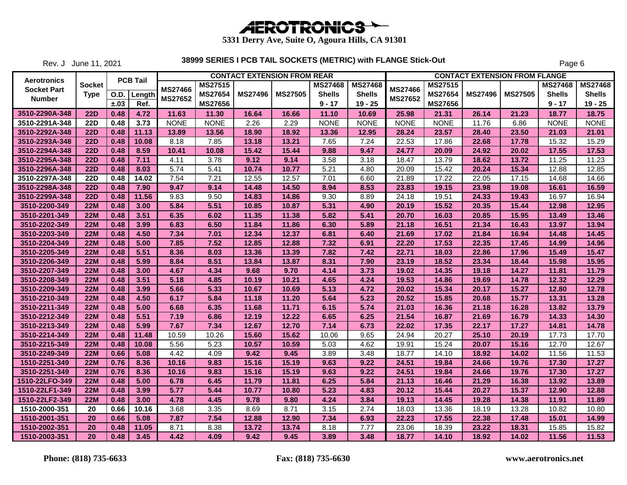

Rev. J June 11, 2021

|                    |               |             |                 |                |                |                | <b>CONTACT EXTENSION FROM REAR</b> |                |                |                |                |                | <b>CONTACT EXTENSION FROM FLANGE</b> |                |                |
|--------------------|---------------|-------------|-----------------|----------------|----------------|----------------|------------------------------------|----------------|----------------|----------------|----------------|----------------|--------------------------------------|----------------|----------------|
| <b>Aerotronics</b> | <b>Socket</b> |             | <b>PCB Tail</b> | <b>MS27466</b> | <b>MS27515</b> |                |                                    | <b>MS27468</b> | <b>MS27468</b> | <b>MS27466</b> | <b>MS27515</b> |                |                                      | <b>MS27468</b> | <b>MS27468</b> |
| <b>Socket Part</b> | <b>Type</b>   | <b>O.D.</b> | Length          |                | <b>MS27654</b> | <b>MS27496</b> | <b>MS27505</b>                     | <b>Shells</b>  | <b>Shells</b>  |                | <b>MS27654</b> | <b>MS27496</b> | <b>MS27505</b>                       | <b>Shells</b>  | <b>Shells</b>  |
| <b>Number</b>      |               | ±.03        | Ref.            | <b>MS27652</b> | <b>MS27656</b> |                |                                    | $9 - 17$       | $19 - 25$      | MS27652        | <b>MS27656</b> |                |                                      | $9 - 17$       | $19 - 25$      |
| 3510-2290A-348     | <b>22D</b>    | 0.48        | 4.72            | 11.63          | 11.30          | 16.64          | 16.66                              | 11.10          | 10.69          | 25.98          | 21.31          | 26.14          | 21.23                                | 18.77          | 18.75          |
| 3510-2291A-348     | <b>22D</b>    | 0.48        | 3.73            | <b>NONE</b>    | <b>NONE</b>    | 2.26           | 2.29                               | <b>NONE</b>    | <b>NONE</b>    | <b>NONE</b>    | <b>NONE</b>    | 11.76          | 6.86                                 | <b>NONE</b>    | <b>NONE</b>    |
| 3510-2292A-348     | <b>22D</b>    | 0.48        | 11.13           | 13.89          | 13.56          | 18.90          | 18.92                              | 13.36          | 12.95          | 28.24          | 23.57          | 28.40          | 23.50                                | 21.03          | 21.01          |
| 3510-2293A-348     | <b>22D</b>    | 0.48        | 10.08           | 8.18           | 7.85           | 13.18          | 13.21                              | 7.65           | 7.24           | 22.53          | 17.86          | 22.68          | 17.78                                | 15.32          | 15.29          |
| 3510-2294A-348     | <b>22D</b>    | 0.48        | 8.59            | 10.41          | 10.08          | 15.42          | 15.44                              | 9.88           | 9.47           | 24.77          | 20.09          | 24.92          | 20.02                                | 17.55          | 17.53          |
| 3510-2295A-348     | <b>22D</b>    | 0.48        | 7.11            | 4.11           | 3.78           | 9.12           | 9.14                               | 3.58           | 3.18           | 18.47          | 13.79          | 18.62          | 13.72                                | 11.25          | 11.23          |
| 3510-2296A-348     | <b>22D</b>    | 0.48        | 8.03            | 5.74           | 5.41           | 10.74          | 10.77                              | 5.21           | 4.80           | 20.09          | 15.42          | 20.24          | 15.34                                | 12.88          | 12.85          |
| 3510-2297A-348     | <b>22D</b>    | 0.48        | 14.02           | 7.54           | 7.21           | 12.55          | 12.57                              | 7.01           | 6.60           | 21.89          | 17.22          | 22.05          | 17.15                                | 14.68          | 14.66          |
| 3510-2298A-348     | <b>22D</b>    | 0.48        | 7.90            | 9.47           | 9.14           | 14.48          | 14.50                              | 8.94           | 8.53           | 23.83          | 19.15          | 23.98          | 19.08                                | 16.61          | 16.59          |
| 3510-2299A-348     | 22D           | 0.48        | 11.56           | 9.83           | 9.50           | 14.83          | 14.86                              | 9.30           | 8.89           | 24.18          | 19.51          | 24.33          | 19.43                                | 16.97          | 16.94          |
| 3510-2200-349      | <b>22M</b>    | 0.48        | 3.00            | 5.84           | 5.51           | 10.85          | 10.87                              | 5.31           | 4.90           | 20.19          | 15.52          | 20.35          | 15.44                                | 12.98          | 12.95          |
| 3510-2201-349      | <b>22M</b>    | 0.48        | 3.51            | 6.35           | 6.02           | 11.35          | 11.38                              | 5.82           | 5.41           | 20.70          | 16.03          | 20.85          | 15.95                                | 13.49          | 13.46          |
| 3510-2202-349      | <b>22M</b>    | 0.48        | 3.99            | 6.83           | 6.50           | 11.84          | 11.86                              | 6.30           | 5.89           | 21.18          | 16.51          | 21.34          | 16.43                                | 13.97          | 13.94          |
| 3510-2203-349      | <b>22M</b>    | 0.48        | 4.50            | 7.34           | 7.01           | 12.34          | 12.37                              | 6.81           | 6.40           | 21.69          | 17.02          | 21.84          | 16.94                                | 14.48          | 14.45          |
| 3510-2204-349      | <b>22M</b>    | 0.48        | 5.00            | 7.85           | 7.52           | 12.85          | 12.88                              | 7.32           | 6.91           | 22.20          | 17.53          | 22.35          | 17.45                                | 14.99          | 14.96          |
| 3510-2205-349      | <b>22M</b>    | 0.48        | 5.51            | 8.36           | 8.03           | 13.36          | 13.39                              | 7.82           | 7.42           | 22.71          | 18.03          | 22.86          | 17.96                                | 15.49          | 15.47          |
| 3510-2206-349      | <b>22M</b>    | 0.48        | 5.99            | 8.84           | 8.51           | 13.84          | 13.87                              | 8.31           | 7.90           | 23.19          | 18.52          | 23.34          | 18.44                                | 15.98          | 15.95          |
| 3510-2207-349      | <b>22M</b>    | 0.48        | 3.00            | 4.67           | 4.34           | 9.68           | 9.70                               | 4.14           | 3.73           | 19.02          | 14.35          | 19.18          | 14.27                                | 11.81          | 11.79          |
| 3510-2208-349      | <b>22M</b>    | 0.48        | 3.51            | 5.18           | 4.85           | 10.19          | 10.21                              | 4.65           | 4.24           | 19.53          | 14.86          | 19.69          | 14.78                                | 12.32          | 12.29          |
| 3510-2209-349      | <b>22M</b>    | 0.48        | 3.99            | 5.66           | 5.33           | 10.67          | 10.69                              | 5.13           | 4.72           | 20.02          | 15.34          | 20.17          | 15.27                                | 12.80          | 12.78          |
| 3510-2210-349      | <b>22M</b>    | 0.48        | 4.50            | 6.17           | 5.84           | 11.18          | 11.20                              | 5.64           | 5.23           | 20.52          | 15.85          | 20.68          | 15.77                                | 13.31          | 13.28          |
| 3510-2211-349      | <b>22M</b>    | 0.48        | 5.00            | 6.68           | 6.35           | 11.68          | 11.71                              | 6.15           | 5.74           | 21.03          | 16.36          | 21.18          | 16.28                                | 13.82          | 13.79          |
| 3510-2212-349      | <b>22M</b>    | 0.48        | 5.51            | 7.19           | 6.86           | 12.19          | 12.22                              | 6.65           | 6.25           | 21.54          | 16.87          | 21.69          | 16.79                                | 14.33          | 14.30          |
| 3510-2213-349      | <b>22M</b>    | 0.48        | 5.99            | 7.67           | 7.34           | 12.67          | 12.70                              | 7.14           | 6.73           | 22.02          | 17.35          | 22.17          | 17.27                                | 14.81          | 14.78          |
| 3510-2214-349      | <b>22M</b>    | 0.48        | 11.48           | 10.59          | 10.26          | 15.60          | 15.62                              | 10.06          | 9.65           | 24.94          | 20.27          | 25.10          | 20.19                                | 17.73          | 17.70          |
| 3510-2215-349      | <b>22M</b>    | 0.48        | 10.08           | 5.56           | 5.23           | 10.57          | 10.59                              | 5.03           | 4.62           | 19.91          | 15.24          | 20.07          | 15.16                                | 12.70          | 12.67          |
| 3510-2249-349      | <b>22M</b>    | 0.66        | 5.08            | 4.42           | 4.09           | 9.42           | 9.45                               | 3.89           | 3.48           | 18.77          | 14.10          | 18.92          | 14.02                                | 11.56          | 11.53          |
| 1510-2251-349      | <b>22M</b>    | 0.76        | 8.36            | 10.16          | 9.83           | 15.16          | 15.19                              | 9.63           | 9.22           | 24.51          | 19.84          | 24.66          | 19.76                                | 17.30          | 17.27          |
| 3510-2251-349      | <b>22M</b>    | 0.76        | 8.36            | 10.16          | 9.83           | 15.16          | 15.19                              | 9.63           | 9.22           | 24.51          | 19.84          | 24.66          | 19.76                                | 17.30          | 17.27          |
| 1510-22LFO-349     | <b>22M</b>    | 0.48        | 5.00            | 6.78           | 6.45           | 11.79          | 11.81                              | 6.25           | 5.84           | 21.13          | 16.46          | 21.29          | 16.38                                | 13.92          | 13.89          |
| 1510-22LF1-349     | <b>22M</b>    | 0.48        | 3.99            | 5.77           | 5.44           | 10.77          | 10.80                              | 5.23           | 4.83           | 20.12          | 15.44          | 20.27          | 15.37                                | 12.90          | 12.88          |
| 1510-22LF2-349     | <b>22M</b>    | 0.48        | 3.00            | 4.78           | 4.45           | 9.78           | 9.80                               | 4.24           | 3.84           | 19.13          | 14.45          | 19.28          | 14.38                                | 11.91          | 11.89          |
| 1510-2000-351      | 20            | 0.66        | 10.16           | 3.68           | 3.35           | 8.69           | 8.71                               | 3.15           | 2.74           | 18.03          | 13.36          | 18.19          | 13.28                                | 10.82          | 10.80          |
| 1510-2001-351      | 20            | 0.66        | 5.08            | 7.87           | 7.54           | 12.88          | 12.90                              | 7.34           | 6.93           | 22.23          | 17.55          | 22.38          | 17.48                                | 15.01          | 14.99          |
| 1510-2002-351      | 20            | 0.48        | 11.05           | 8.71           | 8.38           | 13.72          | 13.74                              | 8.18           | 7.77           | 23.06          | 18.39          | 23.22          | 18.31                                | 15.85          | 15.82          |
| 1510-2003-351      | 20            | 0.48        | 3.45            | 4.42           | 4.09           | 9.42           | 9.45                               | 3.89           | 3.48           | 18.77          | 14.10          | 18.92          | 14.02                                | 11.56          | 11.53          |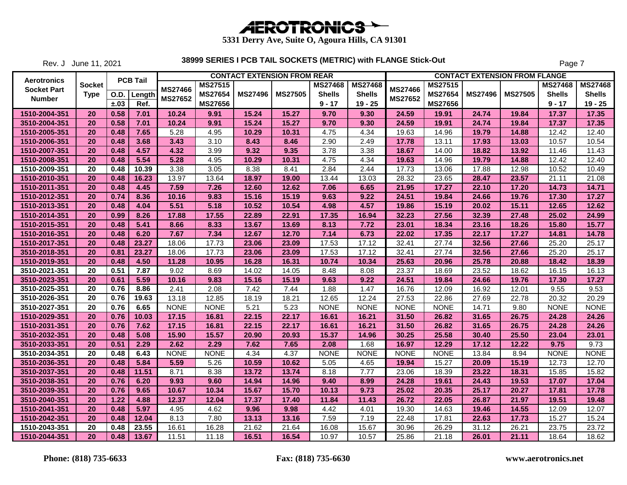

Rev. J June 11, 2021

|                    |                 |      |                             |                |                | <b>CONTACT EXTENSION FROM REAR</b> |                |                |                |                |                |                | <b>CONTACT EXTENSION FROM FLANGE</b> |                |                |
|--------------------|-----------------|------|-----------------------------|----------------|----------------|------------------------------------|----------------|----------------|----------------|----------------|----------------|----------------|--------------------------------------|----------------|----------------|
| <b>Aerotronics</b> | Socket          |      | <b>PCB Tail</b>             |                | <b>MS27515</b> |                                    |                | <b>MS27468</b> | <b>MS27468</b> | <b>MS27466</b> | MS27515        |                |                                      | <b>MS27468</b> | <b>MS27468</b> |
| <b>Socket Part</b> | <b>Type</b>     |      | $\overline{O}$ .D.   Length | <b>MS27466</b> | MS27654        | <b>MS27496</b>                     | <b>MS27505</b> | <b>Shells</b>  | <b>Shells</b>  |                | <b>MS27654</b> | <b>MS27496</b> | <b>MS27505</b>                       | <b>Shells</b>  | <b>Shells</b>  |
| <b>Number</b>      |                 | ±.03 | Ref.                        | MS27652        | <b>MS27656</b> |                                    |                | $9 - 17$       | $19 - 25$      | <b>MS27652</b> | <b>MS27656</b> |                |                                      | $9 - 17$       | $19 - 25$      |
| 1510-2004-351      | 20              | 0.58 | 7.01                        | 10.24          | 9.91           | 15.24                              | 15.27          | 9.70           | 9.30           | 24.59          | 19.91          | 24.74          | 19.84                                | 17.37          | 17.35          |
| 3510-2004-351      | 20              | 0.58 | 7.01                        | 10.24          | 9.91           | 15.24                              | 15.27          | 9.70           | 9.30           | 24.59          | 19.91          | 24.74          | 19.84                                | 17.37          | 17.35          |
| 1510-2005-351      | 20              | 0.48 | 7.65                        | 5.28           | 4.95           | 10.29                              | 10.31          | 4.75           | 4.34           | 19.63          | 14.96          | 19.79          | 14.88                                | 12.42          | 12.40          |
| 1510-2006-351      | 20              | 0.48 | 3.68                        | 3.43           | 3.10           | 8.43                               | 8.46           | 2.90           | 2.49           | 17.78          | 13.11          | 17.93          | 13.03                                | 10.57          | 10.54          |
| 1510-2007-351      | 20              | 0.48 | 4.57                        | 4.32           | 3.99           | 9.32                               | 9.35           | 3.78           | 3.38           | 18.67          | 14.00          | 18.82          | 13.92                                | 11.46          | 11.43          |
| 1510-2008-351      | 20              | 0.48 | 5.54                        | 5.28           | 4.95           | 10.29                              | 10.31          | 4.75           | 4.34           | 19.63          | 14.96          | 19.79          | 14.88                                | 12.42          | 12.40          |
| 1510-2009-351      | 20              | 0.48 | 10.39                       | 3.38           | 3.05           | 8.38                               | 8.41           | 2.84           | 2.44           | 17.73          | 13.06          | 17.88          | 12.98                                | 10.52          | 10.49          |
| 1510-2010-351      | 20              | 0.48 | 16.23                       | 13.97          | 13.64          | 18.97                              | 19.00          | 13.44          | 13.03          | 28.32          | 23.65          | 28.47          | 23.57                                | 21.11          | 21.08          |
| 1510-2011-351      | 20              | 0.48 | 4.45                        | 7.59           | 7.26           | 12.60                              | 12.62          | 7.06           | 6.65           | 21.95          | 17.27          | 22.10          | 17.20                                | 14.73          | 14.71          |
| 1510-2012-351      | 20              | 0.74 | 8.36                        | 10.16          | 9.83           | 15.16                              | 15.19          | 9.63           | 9.22           | 24.51          | 19.84          | 24.66          | 19.76                                | 17.30          | 17.27          |
| 1510-2013-351      | 20              | 0.48 | 4.04                        | 5.51           | 5.18           | 10.52                              | 10.54          | 4.98           | 4.57           | 19.86          | 15.19          | 20.02          | 15.11                                | 12.65          | 12.62          |
| 1510-2014-351      | 20              | 0.99 | 8.26                        | 17.88          | 17.55          | 22.89                              | 22.91          | 17.35          | 16.94          | 32.23          | 27.56          | 32.39          | 27.48                                | 25.02          | 24.99          |
| 1510-2015-351      | 20              | 0.48 | 5.41                        | 8.66           | 8.33           | 13.67                              | 13.69          | 8.13           | 7.72           | 23.01          | 18.34          | 23.16          | 18.26                                | 15.80          | 15.77          |
| 1510-2016-351      | 20              | 0.48 | 6.20                        | 7.67           | 7.34           | 12.67                              | 12.70          | 7.14           | 6.73           | 22.02          | 17.35          | 22.17          | 17.27                                | 14.81          | 14.78          |
| 1510-2017-351      | 20              | 0.48 | 23.27                       | 18.06          | 17.73          | 23.06                              | 23.09          | 17.53          | 17.12          | 32.41          | 27.74          | 32.56          | 27.66                                | 25.20          | 25.17          |
| 3510-2018-351      | 20              | 0.81 | 23.27                       | 18.06          | 17.73          | 23.06                              | 23.09          | 17.53          | 17.12          | 32.41          | 27.74          | 32.56          | 27.66                                | 25.20          | 25.17          |
| 1510-2019-351      | 20              | 0.48 | 4.50                        | 11.28          | 10.95          | 16.28                              | 16.31          | 10.74          | 10.34          | 25.63          | 20.96          | 25.78          | 20.88                                | 18.42          | 18.39          |
| 3510-2021-351      | 20              | 0.51 | 7.87                        | 9.02           | 8.69           | 14.02                              | 14.05          | 8.48           | 8.08           | 23.37          | 18.69          | 23.52          | 18.62                                | 16.15          | 16.13          |
| 3510-2023-351      | 20              | 0.61 | 5.59                        | 10.16          | 9.83           | 15.16                              | 15.19          | 9.63           | 9.22           | 24.51          | 19.84          | 24.66          | 19.76                                | 17.30          | 17.27          |
| 3510-2025-351      | 20              | 0.76 | 8.86                        | 2.41           | 2.08           | 7.42                               | 7.44           | 1.88           | 1.47           | 16.76          | 12.09          | 16.92          | 12.01                                | 9.55           | 9.53           |
| 3510-2026-351      | 20              | 0.76 | 19.63                       | 13.18          | 12.85          | 18.19                              | 18.21          | 12.65          | 12.24          | 27.53          | 22.86          | 27.69          | 22.78                                | 20.32          | 20.29          |
| 3510-2027-351      | $\overline{20}$ | 0.76 | 6.65                        | <b>NONE</b>    | <b>NONE</b>    | 5.21                               | 5.23           | <b>NONE</b>    | <b>NONE</b>    | <b>NONE</b>    | <b>NONE</b>    | 14.71          | 9.80                                 | <b>NONE</b>    | <b>NONE</b>    |
| 1510-2029-351      | 20              | 0.76 | 10.03                       | 17.15          | 16.81          | 22.15                              | 22.17          | 16.61          | 16.21          | 31.50          | 26.82          | 31.65          | 26.75                                | 24.28          | 24.26          |
| 1510-2031-351      | 20              | 0.76 | 7.62                        | 17.15          | 16.81          | 22.15                              | 22.17          | 16.61          | 16.21          | 31.50          | 26.82          | 31.65          | 26.75                                | 24.28          | 24.26          |
| 3510-2032-351      | 20              | 0.48 | 5.08                        | 15.90          | 15.57          | 20.90                              | 20.93          | 15.37          | 14.96          | 30.25          | 25.58          | 30.40          | 25.50                                | 23.04          | 23.01          |
| 3510-2033-351      | 20              | 0.51 | 2.29                        | 2.62           | 2.29           | 7.62                               | 7.65           | 2.08           | 1.68           | 16.97          | 12.29          | 17.12          | 12.22                                | 9.75           | 9.73           |
| 3510-2034-351      | 20              | 0.48 | 6.43                        | <b>NONE</b>    | <b>NONE</b>    | 4.34                               | 4.37           | <b>NONE</b>    | <b>NONE</b>    | <b>NONE</b>    | <b>NONE</b>    | 13.84          | 8.94                                 | <b>NONE</b>    | <b>NONE</b>    |
| 3510-2036-351      | 20              | 0.48 | 5.84                        | 5.59           | 5.26           | 10.59                              | 10.62          | 5.05           | 4.65           | 19.94          | 15.27          | 20.09          | 15.19                                | 12.73          | 12.70          |
| 3510-2037-351      | 20              | 0.48 | 11.51                       | 8.71           | 8.38           | 13.72                              | 13.74          | 8.18           | 7.77           | 23.06          | 18.39          | 23.22          | 18.31                                | 15.85          | 15.82          |
| 3510-2038-351      | 20              | 0.76 | 6.20                        | 9.93           | 9.60           | 14.94                              | 14.96          | 9.40           | 8.99           | 24.28          | 19.61          | 24.43          | 19.53                                | 17.07          | 17.04          |
| 3510-2039-351      | 20              | 0.76 | 9.65                        | 10.67          | 10.34          | 15.67                              | 15.70          | 10.13          | 9.73           | 25.02          | 20.35          | 25.17          | 20.27                                | 17.81          | 17.78          |
| 3510-2040-351      | 20              | 1.22 | 4.88                        | 12.37          | 12.04          | 17.37                              | 17.40          | 11.84          | 11.43          | 26.72          | 22.05          | 26.87          | 21.97                                | 19.51          | 19.48          |
| 1510-2041-351      | 20              | 0.48 | 5.97                        | 4.95           | 4.62           | 9.96                               | 9.98           | 4.42           | 4.01           | 19.30          | 14.63          | 19.46          | 14.55                                | 12.09          | 12.07          |
| 1510-2042-351      | 20              | 0.48 | 12.04                       | 8.13           | 7.80           | 13.13                              | 13.16          | 7.59           | 7.19           | 22.48          | 17.81          | 22.63          | 17.73                                | 15.27          | 15.24          |
| 1510-2043-351      | 20              | 0.48 | 23.55                       | 16.61          | 16.28          | 21.62                              | 21.64          | 16.08          | 15.67          | 30.96          | 26.29          | 31.12          | 26.21                                | 23.75          | 23.72          |
| 1510-2044-351      | 20              | 0.48 | 13.67                       | 11.51          | 11.18          | 16.51                              | 16.54          | 10.97          | 10.57          | 25.86          | 21.18          | 26.01          | 21.11                                | 18.64          | 18.62          |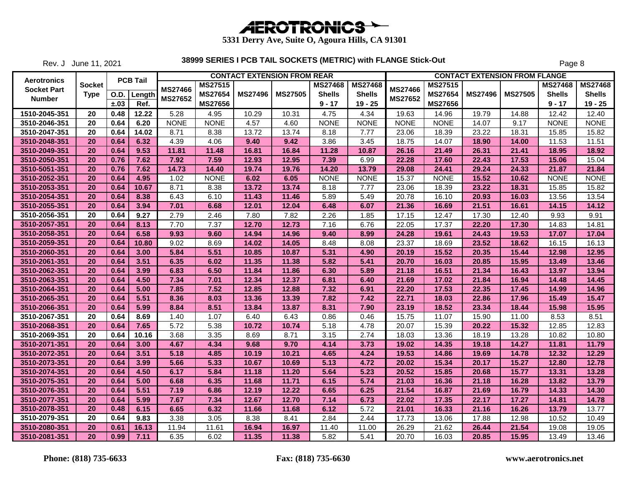

Rev. J June 11, 2021

|                    |               |      |                 |                |                |                | <b>CONTACT EXTENSION FROM REAR</b> |                |                |                |                |                | <b>CONTACT EXTENSION FROM FLANGE</b> |                |                |
|--------------------|---------------|------|-----------------|----------------|----------------|----------------|------------------------------------|----------------|----------------|----------------|----------------|----------------|--------------------------------------|----------------|----------------|
| <b>Aerotronics</b> | <b>Socket</b> |      | <b>PCB Tail</b> | <b>MS27466</b> | <b>MS27515</b> |                |                                    | <b>MS27468</b> | <b>MS27468</b> | <b>MS27466</b> | MS27515        |                |                                      | <b>MS27468</b> | <b>MS27468</b> |
| <b>Socket Part</b> | <b>Type</b>   | O.D. | Length          |                | <b>MS27654</b> | <b>MS27496</b> | <b>MS27505</b>                     | <b>Shells</b>  | <b>Shells</b>  |                | <b>MS27654</b> | <b>MS27496</b> | <b>MS27505</b>                       | <b>Shells</b>  | <b>Shells</b>  |
| <b>Number</b>      |               | ±.03 | Ref.            | <b>MS27652</b> | <b>MS27656</b> |                |                                    | $9 - 17$       | $19 - 25$      | <b>MS27652</b> | MS27656        |                |                                      | $9 - 17$       | $19 - 25$      |
| 1510-2045-351      | 20            | 0.48 | 12.22           | 5.28           | 4.95           | 10.29          | 10.31                              | 4.75           | 4.34           | 19.63          | 14.96          | 19.79          | 14.88                                | 12.42          | 12.40          |
| 3510-2046-351      | 20            | 0.64 | 6.20            | <b>NONE</b>    | <b>NONE</b>    | 4.57           | 4.60                               | <b>NONE</b>    | <b>NONE</b>    | <b>NONE</b>    | <b>NONE</b>    | 14.07          | 9.17                                 | <b>NONE</b>    | <b>NONE</b>    |
| 3510-2047-351      | 20            | 0.64 | 14.02           | 8.71           | 8.38           | 13.72          | 13.74                              | 8.18           | 7.77           | 23.06          | 18.39          | 23.22          | 18.31                                | 15.85          | 15.82          |
| 3510-2048-351      | 20            | 0.64 | 6.32            | 4.39           | 4.06           | 9.40           | 9.42                               | 3.86           | 3.45           | 18.75          | 14.07          | 18.90          | 14.00                                | 11.53          | 11.51          |
| 3510-2049-351      | 20            | 0.64 | 9.53            | 11.81          | 11.48          | 16.81          | 16.84                              | 11.28          | 10.87          | 26.16          | 21.49          | 26.31          | 21.41                                | 18.95          | 18.92          |
| 3510-2050-351      | 20            | 0.76 | 7.62            | 7.92           | 7.59           | 12.93          | 12.95                              | 7.39           | 6.99           | 22.28          | 17.60          | 22.43          | 17.53                                | 15.06          | 15.04          |
| 3510-5051-351      | 20            | 0.76 | 7.62            | 14.73          | 14.40          | 19.74          | 19.76                              | 14.20          | 13.79          | 29.08          | 24.41          | 29.24          | 24.33                                | 21.87          | 21.84          |
| 3510-2052-351      | <b>20</b>     | 0.64 | 4.95            | 1.02           | <b>NONE</b>    | 6.02           | 6.05                               | <b>NONE</b>    | <b>NONE</b>    | 15.37          | <b>NONE</b>    | 15.52          | 10.62                                | <b>NONE</b>    | <b>NONE</b>    |
| 3510-2053-351      | 20            | 0.64 | 10.67           | 8.71           | 8.38           | 13.72          | 13.74                              | 8.18           | 7.77           | 23.06          | 18.39          | 23.22          | 18.31                                | 15.85          | 15.82          |
| 3510-2054-351      | 20            | 0.64 | 8.38            | 6.43           | 6.10           | 11.43          | 11.46                              | 5.89           | 5.49           | 20.78          | 16.10          | 20.93          | 16.03                                | 13.56          | 13.54          |
| 3510-2055-351      | 20            | 0.64 | 3.94            | 7.01           | 6.68           | 12.01          | 12.04                              | 6.48           | 6.07           | 21.36          | 16.69          | 21.51          | 16.61                                | 14.15          | 14.12          |
| 3510-2056-351      | 20            | 0.64 | 9.27            | 2.79           | 2.46           | 7.80           | 7.82                               | 2.26           | 1.85           | 17.15          | 12.47          | 17.30          | 12.40                                | 9.93           | 9.91           |
| 3510-2057-351      | 20            | 0.64 | 8.13            | 7.70           | 7.37           | 12.70          | 12.73                              | 7.16           | 6.76           | 22.05          | 17.37          | 22.20          | 17.30                                | 14.83          | 14.81          |
| 3510-2058-351      | 20            | 0.64 | 6.58            | 9.93           | 9.60           | 14.94          | 14.96                              | 9.40           | 8.99           | 24.28          | 19.61          | 24.43          | 19.53                                | 17.07          | 17.04          |
| 3510-2059-351      | 20            | 0.64 | 10.80           | 9.02           | 8.69           | 14.02          | 14.05                              | 8.48           | 8.08           | 23.37          | 18.69          | 23.52          | 18.62                                | 16.15          | 16.13          |
| 3510-2060-351      | 20            | 0.64 | 3.00            | 5.84           | 5.51           | 10.85          | 10.87                              | 5.31           | 4.90           | 20.19          | 15.52          | 20.35          | 15.44                                | 12.98          | 12.95          |
| 3510-2061-351      | <b>20</b>     | 0.64 | 3.51            | 6.35           | 6.02           | 11.35          | 11.38                              | 5.82           | 5.41           | 20.70          | 16.03          | 20.85          | 15.95                                | 13.49          | 13.46          |
| 3510-2062-351      | 20            | 0.64 | 3.99            | 6.83           | 6.50           | 11.84          | 11.86                              | 6.30           | 5.89           | 21.18          | 16.51          | 21.34          | 16.43                                | 13.97          | 13.94          |
| 3510-2063-351      | 20            | 0.64 | 4.50            | 7.34           | 7.01           | 12.34          | 12.37                              | 6.81           | 6.40           | 21.69          | 17.02          | 21.84          | 16.94                                | 14.48          | 14.45          |
| 3510-2064-351      | 20            | 0.64 | 5.00            | 7.85           | 7.52           | 12.85          | 12.88                              | 7.32           | 6.91           | 22.20          | 17.53          | 22.35          | 17.45                                | 14.99          | 14.96          |
| 3510-2065-351      | 20            | 0.64 | 5.51            | 8.36           | 8.03           | 13.36          | 13.39                              | 7.82           | 7.42           | 22.71          | 18.03          | 22.86          | 17.96                                | 15.49          | 15.47          |
| 3510-2066-351      | 20            | 0.64 | 5.99            | 8.84           | 8.51           | 13.84          | 13.87                              | 8.31           | 7.90           | 23.19          | 18.52          | 23.34          | 18.44                                | 15.98          | 15.95          |
| 3510-2067-351      | 20            | 0.64 | 8.69            | 1.40           | 1.07           | 6.40           | 6.43                               | 0.86           | 0.46           | 15.75          | 11.07          | 15.90          | 11.00                                | 8.53           | 8.51           |
| 3510-2068-351      | 20            | 0.64 | 7.65            | 5.72           | 5.38           | 10.72          | 10.74                              | 5.18           | 4.78           | 20.07          | 15.39          | 20.22          | 15.32                                | 12.85          | 12.83          |
| 3510-2069-351      | 20            | 0.64 | 10.16           | 3.68           | 3.35           | 8.69           | 8.71                               | 3.15           | 2.74           | 18.03          | 13.36          | 18.19          | 13.28                                | 10.82          | 10.80          |
| 3510-2071-351      | 20            | 0.64 | 3.00            | 4.67           | 4.34           | 9.68           | 9.70                               | 4.14           | 3.73           | 19.02          | 14.35          | 19.18          | 14.27                                | 11.81          | 11.79          |
| 3510-2072-351      | 20            | 0.64 | 3.51            | 5.18           | 4.85           | 10.19          | 10.21                              | 4.65           | 4.24           | 19.53          | 14.86          | 19.69          | 14.78                                | 12.32          | 12.29          |
| 3510-2073-351      | <b>20</b>     | 0.64 | 3.99            | 5.66           | 5.33           | 10.67          | 10.69                              | 5.13           | 4.72           | 20.02          | 15.34          | 20.17          | 15.27                                | 12.80          | 12.78          |
| 3510-2074-351      | 20            | 0.64 | 4.50            | 6.17           | 5.84           | 11.18          | 11.20                              | 5.64           | 5.23           | 20.52          | 15.85          | 20.68          | 15.77                                | 13.31          | 13.28          |
| 3510-2075-351      | 20            | 0.64 | 5.00            | 6.68           | 6.35           | 11.68          | 11.71                              | 6.15           | 5.74           | 21.03          | 16.36          | 21.18          | 16.28                                | 13.82          | 13.79          |
| 3510-2076-351      | 20            | 0.64 | 5.51            | 7.19           | 6.86           | 12.19          | 12.22                              | 6.65           | 6.25           | 21.54          | 16.87          | 21.69          | 16.79                                | 14.33          | 14.30          |
| 3510-2077-351      | 20            | 0.64 | 5.99            | 7.67           | 7.34           | 12.67          | 12.70                              | 7.14           | 6.73           | 22.02          | 17.35          | 22.17          | 17.27                                | 14.81          | 14.78          |
| 3510-2078-351      | 20            | 0.48 | 6.15            | 6.65           | 6.32           | 11.66          | 11.68                              | 6.12           | 5.72           | 21.01          | 16.33          | 21.16          | 16.26                                | 13.79          | 13.77          |
| 3510-2079-351      | 20            | 0.64 | 9.83            | 3.38           | 3.05           | 8.38           | 8.41                               | 2.84           | 2.44           | 17.73          | 13.06          | 17.88          | 12.98                                | 10.52          | 10.49          |
| 3510-2080-351      | 20            | 0.61 | 16.13           | 11.94          | 11.61          | 16.94          | 16.97                              | 11.40          | 11.00          | 26.29          | 21.62          | 26.44          | 21.54                                | 19.08          | 19.05          |
| 3510-2081-351      | 20            | 0.99 | 7.11            | 6.35           | 6.02           | 11.35          | 11.38                              | 5.82           | 5.41           | 20.70          | 16.03          | 20.85          | 15.95                                | 13.49          | 13.46          |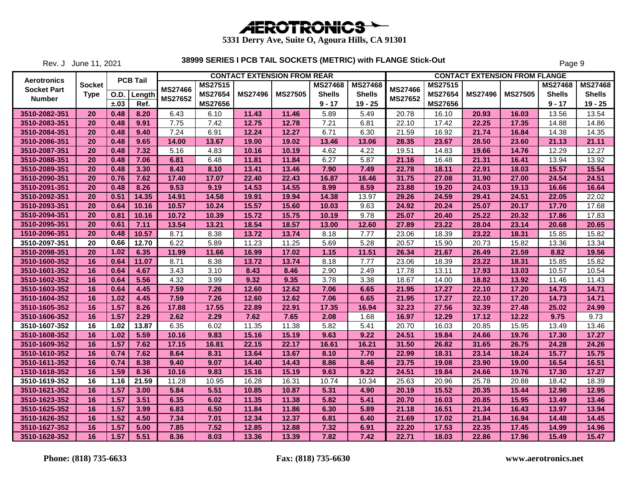

Rev. J June 11, 2021

|                                          |               |      |                 |                |                |                | <b>CONTACT EXTENSION FROM REAR</b> |                |                |                |                |                | <b>CONTACT EXTENSION FROM FLANGE</b> |                |                |
|------------------------------------------|---------------|------|-----------------|----------------|----------------|----------------|------------------------------------|----------------|----------------|----------------|----------------|----------------|--------------------------------------|----------------|----------------|
| <b>Aerotronics</b><br><b>Socket Part</b> | <b>Socket</b> |      | <b>PCB Tail</b> | <b>MS27466</b> | <b>MS27515</b> |                |                                    | <b>MS27468</b> | <b>MS27468</b> | <b>MS27466</b> | <b>MS27515</b> |                |                                      | <b>MS27468</b> | <b>MS27468</b> |
|                                          | <b>Type</b>   | O.D. | Length          | <b>MS27652</b> | <b>MS27654</b> | <b>MS27496</b> | <b>MS27505</b>                     | <b>Shells</b>  | <b>Shells</b>  | <b>MS27652</b> | <b>MS27654</b> | <b>MS27496</b> | <b>MS27505</b>                       | <b>Shells</b>  | <b>Shells</b>  |
| <b>Number</b>                            |               | ±.03 | Ref.            |                | <b>MS27656</b> |                |                                    | $9 - 17$       | $19 - 25$      |                | MS27656        |                |                                      | $9 - 17$       | $19 - 25$      |
| 3510-2082-351                            | 20            | 0.48 | 8.20            | 6.43           | 6.10           | 11.43          | 11.46                              | 5.89           | 5.49           | 20.78          | 16.10          | 20.93          | 16.03                                | 13.56          | 13.54          |
| 3510-2083-351                            | 20            | 0.48 | 9.91            | 7.75           | 7.42           | 12.75          | 12.78                              | 7.21           | 6.81           | 22.10          | 17.42          | 22.25          | 17.35                                | 14.88          | 14.86          |
| 3510-2084-351                            | 20            | 0.48 | 9.40            | 7.24           | 6.91           | 12.24          | 12.27                              | 6.71           | 6.30           | 21.59          | 16.92          | 21.74          | 16.84                                | 14.38          | 14.35          |
| 3510-2086-351                            | 20            | 0.48 | 9.65            | 14.00          | 13.67          | 19.00          | 19.02                              | 13.46          | 13.06          | 28.35          | 23.67          | 28.50          | 23.60                                | 21.13          | 21.11          |
| 3510-2087-351                            | 20            | 0.48 | 7.32            | 5.16           | 4.83           | 10.16          | 10.19                              | 4.62           | 4.22           | 19.51          | 14.83          | 19.66          | 14.76                                | 12.29          | 12.27          |
| 3510-2088-351                            | 20            | 0.48 | 7.06            | 6.81           | 6.48           | 11.81          | 11.84                              | 6.27           | 5.87           | 21.16          | 16.48          | 21.31          | 16.41                                | 13.94          | 13.92          |
| 3510-2089-351                            | 20            | 0.48 | 3.30            | 8.43           | 8.10           | 13.41          | 13.46                              | 7.90           | 7.49           | 22.78          | 18.11          | 22.91          | 18.03                                | 15.57          | 15.54          |
| 3510-2090-351                            | <b>20</b>     | 0.76 | 7.62            | 17.40          | 17.07          | 22.40          | 22.43                              | 16.87          | 16.46          | 31.75          | 27.08          | 31.90          | 27.00                                | 24.54          | 24.51          |
| 3510-2091-351                            | 20            | 0.48 | 8.26            | 9.53           | 9.19           | 14.53          | 14.55                              | 8.99           | 8.59           | 23.88          | 19.20          | 24.03          | 19.13                                | 16.66          | 16.64          |
| 3510-2092-351                            | 20            | 0.51 | 14.35           | 14.91          | 14.58          | 19.91          | 19.94                              | 14.38          | 13.97          | 29.26          | 24.59          | 29.41          | 24.51                                | 22.05          | 22.02          |
| 3510-2093-351                            | 20            | 0.64 | 10.16           | 10.57          | 10.24          | 15.57          | 15.60                              | 10.03          | 9.63           | 24.92          | 20.24          | 25.07          | 20.17                                | 17.70          | 17.68          |
| 3510-2094-351                            | 20            | 0.81 | 10.16           | 10.72          | 10.39          | 15.72          | 15.75                              | 10.19          | 9.78           | 25.07          | 20.40          | 25.22          | 20.32                                | 17.86          | 17.83          |
| 3510-2095-351                            | 20            | 0.61 | 7.11            | 13.54          | 13.21          | 18.54          | 18.57                              | 13.00          | 12.60          | 27.89          | 23.22          | 28.04          | 23.14                                | 20.68          | 20.65          |
| 1510-2096-351                            | 20            | 0.48 | 10.57           | 8.71           | 8.38           | 13.72          | 13.74                              | 8.18           | 7.77           | 23.06          | 18.39          | 23.22          | 18.31                                | 15.85          | 15.82          |
| 3510-2097-351                            | 20            | 0.66 | 12.70           | 6.22           | 5.89           | 11.23          | 11.25                              | 5.69           | 5.28           | 20.57          | 15.90          | 20.73          | 15.82                                | 13.36          | 13.34          |
| 3510-2098-351                            | 20            | 1.02 | 6.35            | 11.99          | 11.66          | 16.99          | 17.02                              | 1.15           | 11.51          | 26.34          | 21.67          | 26.49          | 21.59                                | 8.82           | 19.56          |
| 3510-1600-352                            | 16            | 0.64 | 11.07           | 8.71           | 8.38           | 13.72          | 13.74                              | 8.18           | 7.77           | 23.06          | 18.39          | 23.22          | 18.31                                | 15.85          | 15.82          |
| 3510-1601-352                            | 16            | 0.64 | 4.67            | 3.43           | 3.10           | 8.43           | 8.46                               | 2.90           | 2.49           | 17.78          | 13.11          | 17.93          | 13.03                                | 10.57          | 10.54          |
| 3510-1602-352                            | 16            | 0.64 | 5.56            | 4.32           | 3.99           | 9.32           | 9.35                               | 3.78           | 3.38           | 18.67          | 14.00          | 18.82          | 13.92                                | 11.46          | 11.43          |
| 3510-1603-352                            | 16            | 0.64 | 4.45            | 7.59           | 7.26           | 12.60          | 12.62                              | 7.06           | 6.65           | 21.95          | 17.27          | 22.10          | 17.20                                | 14.73          | 14.71          |
| 3510-1604-352                            | 16            | 1.02 | 4.45            | 7.59           | 7.26           | 12.60          | 12.62                              | 7.06           | 6.65           | 21.95          | 17.27          | 22.10          | 17.20                                | 14.73          | 14.71          |
| 3510-1605-352                            | 16            | 1.57 | 8.26            | 17.88          | 17.55          | 22.89          | 22.91                              | 17.35          | 16.94          | 32.23          | 27.56          | 32.39          | 27.48                                | 25.02          | 24.99          |
| 3510-1606-352                            | 16            | 1.57 | 2.29            | 2.62           | 2.29           | 7.62           | 7.65                               | 2.08           | 1.68           | 16.97          | 12.29          | 17.12          | 12.22                                | 9.75           | 9.73           |
| 3510-1607-352                            | 16            | 1.02 | 13.87           | 6.35           | 6.02           | 11.35          | 11.38                              | 5.82           | 5.41           | 20.70          | 16.03          | 20.85          | 15.95                                | 13.49          | 13.46          |
| 3510-1608-352                            | 16            | 1.02 | 5.59            | 10.16          | 9.83           | 15.16          | 15.19                              | 9.63           | 9.22           | 24.51          | 19.84          | 24.66          | 19.76                                | 17.30          | 17.27          |
| 3510-1609-352                            | 16            | 1.57 | 7.62            | 17.15          | 16.81          | 22.15          | 22.17                              | 16.61          | 16.21          | 31.50          | 26.82          | 31.65          | 26.75                                | 24.28          | 24.26          |
| 3510-1610-352                            | 16            | 0.74 | 7.62            | 8.64           | 8.31           | 13.64          | 13.67                              | 8.10           | 7.70           | 22.99          | 18.31          | 23.14          | 18.24                                | 15.77          | 15.75          |
| 3510-1611-352                            | 16            | 0.74 | 8.38            | 9.40           | 9.07           | 14.40          | 14.43                              | 8.86           | 8.46           | 23.75          | 19.08          | 23.90          | 19.00                                | 16.54          | 16.51          |
| 1510-1618-352                            | 16            | 1.59 | 8.36            | 10.16          | 9.83           | 15.16          | 15.19                              | 9.63           | 9.22           | 24.51          | 19.84          | 24.66          | 19.76                                | 17.30          | 17.27          |
| 3510-1619-352                            | 16            | 1.16 | 21.59           | 11.28          | 10.95          | 16.28          | 16.31                              | 10.74          | 10.34          | 25.63          | 20.96          | 25.78          | 20.88                                | 18.42          | 18.39          |
| 3510-1621-352                            | 16            | 1.57 | 3.00            | 5.84           | 5.51           | 10.85          | 10.87                              | 5.31           | 4.90           | 20.19          | 15.52          | 20.35          | 15.44                                | 12.98          | 12.95          |
| 3510-1623-352                            | 16            | 1.57 | 3.51            | 6.35           | 6.02           | 11.35          | 11.38                              | 5.82           | 5.41           | 20.70          | 16.03          | 20.85          | 15.95                                | 13.49          | 13.46          |
| 3510-1625-352                            | 16            | 1.57 | 3.99            | 6.83           | 6.50           | 11.84          | 11.86                              | 6.30           | 5.89           | 21.18          | 16.51          | 21.34          | 16.43                                | 13.97          | 13.94          |
| 3510-1626-352                            | 16            | 1.52 | 4.50            | 7.34           | 7.01           | 12.34          | 12.37                              | 6.81           | 6.40           | 21.69          | 17.02          | 21.84          | 16.94                                | 14.48          | 14.45          |
| 3510-1627-352                            | 16            | 1.57 | 5.00            | 7.85           | 7.52           | 12.85          | 12.88                              | 7.32           | 6.91           | 22.20          | 17.53          | 22.35          | 17.45                                | 14.99          | 14.96          |
| 3510-1628-352                            | 16            | 1.57 | 5.51            | 8.36           | 8.03           | 13.36          | 13.39                              | 7.82           | 7.42           | 22.71          | 18.03          | 22.86          | 17.96                                | 15.49          | 15.47          |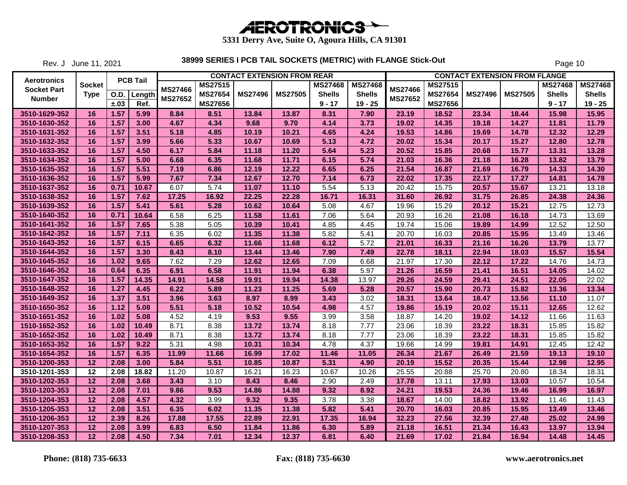

Rev. J June 11, 2021

|                    |               |             |                 |                |                | <b>CONTACT EXTENSION FROM REAR</b> |                |                |                |                |                |                | <b>CONTACT EXTENSION FROM FLANGE</b> |                |                |
|--------------------|---------------|-------------|-----------------|----------------|----------------|------------------------------------|----------------|----------------|----------------|----------------|----------------|----------------|--------------------------------------|----------------|----------------|
| Aerotronics        | <b>Socket</b> |             | <b>PCB Tail</b> | <b>MS27466</b> | <b>MS27515</b> |                                    |                | <b>MS27468</b> | <b>MS27468</b> | <b>MS27466</b> | MS27515        |                |                                      | <b>MS27468</b> | <b>MS27468</b> |
| <b>Socket Part</b> | <b>Type</b>   | <b>O.D.</b> | Length          |                | <b>MS27654</b> | <b>MS27496</b>                     | <b>MS27505</b> | <b>Shells</b>  | <b>Shells</b>  |                | <b>MS27654</b> | <b>MS27496</b> | <b>MS27505</b>                       | <b>Shells</b>  | <b>Shells</b>  |
| <b>Number</b>      |               | ±.03        | Ref.            | <b>MS27652</b> | <b>MS27656</b> |                                    |                | $9 - 17$       | $19 - 25$      | MS27652        | <b>MS27656</b> |                |                                      | $9 - 17$       | $19 - 25$      |
| 3510-1629-352      | 16            | 1.57        | 5.99            | 8.84           | 8.51           | 13.84                              | 13.87          | 8.31           | 7.90           | 23.19          | 18.52          | 23.34          | 18.44                                | 15.98          | 15.95          |
| 3510-1630-352      | 16            | 1.57        | 3.00            | 4.67           | 4.34           | 9.68                               | 9.70           | 4.14           | 3.73           | 19.02          | 14.35          | 19.18          | 14.27                                | 11.81          | 11.79          |
| 3510-1631-352      | 16            | 1.57        | 3.51            | 5.18           | 4.85           | 10.19                              | 10.21          | 4.65           | 4.24           | 19.53          | 14.86          | 19.69          | 14.78                                | 12.32          | 12.29          |
| 3510-1632-352      | 16            | 1.57        | 3.99            | 5.66           | 5.33           | 10.67                              | 10.69          | 5.13           | 4.72           | 20.02          | 15.34          | 20.17          | 15.27                                | 12.80          | 12.78          |
| 3510-1633-352      | 16            | 1.57        | 4.50            | 6.17           | 5.84           | 11.18                              | 11.20          | 5.64           | 5.23           | 20.52          | 15.85          | 20.68          | 15.77                                | 13.31          | 13.28          |
| 3510-1634-352      | 16            | 1.57        | 5.00            | 6.68           | 6.35           | 11.68                              | 11.71          | 6.15           | 5.74           | 21.03          | 16.36          | 21.18          | 16.28                                | 13.82          | 13.79          |
| 3510-1635-352      | 16            | 1.57        | 5.51            | 7.19           | 6.86           | 12.19                              | 12.22          | 6.65           | 6.25           | 21.54          | 16.87          | 21.69          | 16.79                                | 14.33          | 14.30          |
| 3510-1636-352      | 16            | 1.57        | 5.99            | 7.67           | 7.34           | 12.67                              | 12.70          | 7.14           | 6.73           | 22.02          | 17.35          | 22.17          | 17.27                                | 14.81          | 14.78          |
| 3510-1637-352      | 16            | 0.71        | 10.67           | 6.07           | 5.74           | 11.07                              | 11.10          | 5.54           | 5.13           | 20.42          | 15.75          | 20.57          | 15.67                                | 13.21          | 13.18          |
| 3510-1638-352      | 16            | 1.57        | 7.62            | 17.25          | 16.92          | 22.25                              | 22.28          | 16.71          | 16.31          | 31.60          | 26.92          | 31.75          | 26.85                                | 24.38          | 24.36          |
| 3510-1639-352      | 16            | 1.57        | 5.41            | 5.61           | 5.28           | 10.62                              | 10.64          | 5.08           | 4.67           | 19.96          | 15.29          | 20.12          | 15.21                                | 12.75          | 12.73          |
| 3510-1640-352      | 16            | 0.71        | 10.64           | 6.58           | 6.25           | 11.58                              | 11.61          | 7.06           | 5.64           | 20.93          | 16.26          | 21.08          | 16.18                                | 14.73          | 13.69          |
| 3510-1641-352      | 16            | 1.57        | 7.65            | 5.38           | 5.05           | 10.39                              | 10.41          | 4.85           | 4.45           | 19.74          | 15.06          | 19.89          | 14.99                                | 12.52          | 12.50          |
| 3510-1642-352      | 16            | 1.57        | 7.11            | 6.35           | 6.02           | 11.35                              | 11.38          | 5.82           | 5.41           | 20.70          | 16.03          | 20.85          | 15.95                                | 13.49          | 13.46          |
| 3510-1643-352      | 16            | 1.57        | 6.15            | 6.65           | 6.32           | 11.66                              | 11.68          | 6.12           | 5.72           | 21.01          | 16.33          | 21.16          | 16.26                                | 13.79          | 13.77          |
| 3510-1644-352      | 16            | 1.57        | 3.30            | 8.43           | 8.10           | 13.44                              | 13.46          | 7.90           | 7.49           | 22.78          | 18.11          | 22.94          | 18.03                                | 15.57          | 15.54          |
| 3510-1645-352      | 16            | 1.02        | 9.65            | 7.62           | 7.29           | 12.62                              | 12.65          | 7.09           | 6.68           | 21.97          | 17.30          | 22.12          | 17.22                                | 14.76          | 14.73          |
| 3510-1646-352      | 16            | 0.64        | 6.35            | 6.91           | 6.58           | 11.91                              | 11.94          | 6.38           | 5.97           | 21.26          | 16.59          | 21.41          | 16.51                                | 14.05          | 14.02          |
| 3510-1647-352      | 16            | 1.57        | 14.35           | 14.91          | 14.58          | 19.91                              | 19.94          | 14.38          | 13.97          | 29.26          | 24.59          | 29.41          | 24.51                                | 22.05          | 22.02          |
| 3510-1648-352      | 16            | 1.27        | 4.45            | 6.22           | 5.89           | 11.23                              | 11.25          | 5.69           | 5.28           | 20.57          | 15.90          | 20.73          | 15.82                                | 13.36          | 13.34          |
| 3510-1649-352      | 16            | 1.37        | 3.51            | 3.96           | 3.63           | 8.97                               | 8.99           | 3.43           | 3.02           | 18.31          | 13.64          | 18.47          | 13.56                                | 11.10          | 11.07          |
| 3510-1650-352      | 16            | 1.12        | 5.08            | 5.51           | 5.18           | 10.52                              | 10.54          | 4.98           | 4.57           | 19.86          | 15.19          | 20.02          | 15.11                                | 12.65          | 12.62          |
| 3510-1651-352      | 16            | 1.02        | 5.08            | 4.52           | 4.19           | 9.53                               | 9.55           | 3.99           | 3.58           | 18.87          | 14.20          | 19.02          | 14.12                                | 11.66          | 11.63          |
| 1510-1652-352      | 16            | 1.02        | 10.49           | 8.71           | 8.38           | 13.72                              | 13.74          | 8.18           | 7.77           | 23.06          | 18.39          | 23.22          | 18.31                                | 15.85          | 15.82          |
| 3510-1652-352      | 16            | 1.02        | 10.49           | 8.71           | 8.38           | 13.72                              | 13.74          | 8.18           | 7.77           | 23.06          | 18.39          | 23.22          | 18.31                                | 15.85          | 15.82          |
| 3510-1653-352      | 16            | 1.57        | 9.22            | 5.31           | 4.98           | 10.31                              | 10.34          | 4.78           | 4.37           | 19.66          | 14.99          | 19.81          | 14.91                                | 12.45          | 12.42          |
| 3510-1654-352      | 16            | 1.57        | 6.35            | 11.99          | 11.66          | 16.99                              | 17.02          | 11.46          | 11.05          | 26.34          | 21.67          | 26.49          | 21.59                                | 19.13          | 19.10          |
| 3510-1200-353      | 12            | 2.08        | 3.00            | 5.84           | 5.51           | 10.85                              | 10.87          | 5.31           | 4.90           | 20.19          | 15.52          | 20.35          | 15.44                                | 12.98          | 12.95          |
| 3510-1201-353      | 12            | 2.08        | 18.82           | 11.20          | 10.87          | 16.21                              | 16.23          | 10.67          | 10.26          | 25.55          | 20.88          | 25.70          | 20.80                                | 18.34          | 18.31          |
| 3510-1202-353      | 12            | 2.08        | 3.68            | 3.43           | 3.10           | 8.43                               | 8.46           | 2.90           | 2.49           | 17.78          | 13.11          | 17.93          | 13.03                                | 10.57          | 10.54          |
| 3510-1203-353      | 12            | 2.08        | 7.01            | 9.86           | 9.53           | 14.86                              | 14.88          | 9.32           | 8.92           | 24.21          | 19.53          | 24.36          | 19.46                                | 16.99          | 16.97          |
| 3510-1204-353      | 12            | 2.08        | 4.57            | 4.32           | 3.99           | 9.32                               | 9.35           | 3.78           | 3.38           | 18.67          | 14.00          | 18.82          | 13.92                                | 11.46          | 11.43          |
| 3510-1205-353      | $12 \,$       | 2.08        | 3.51            | 6.35           | 6.02           | 11.35                              | 11.38          | 5.82           | 5.41           | 20.70          | 16.03          | 20.85          | 15.95                                | 13.49          | 13.46          |
| 3510-1206-353      | 12            | 2.39        | 8.26            | 17.88          | 17.55          | 22.89                              | 22.91          | 17.35          | 16.94          | 32.23          | 27.56          | 32.39          | 27.48                                | 25.02          | 24.99          |
| 3510-1207-353      | 12            | 2.08        | 3.99            | 6.83           | 6.50           | 11.84                              | 11.86          | 6.30           | 5.89           | 21.18          | 16.51          | 21.34          | 16.43                                | 13.97          | 13.94          |
| 3510-1208-353      | 12            | 2.08        | 4.50            | 7.34           | 7.01           | 12.34                              | 12.37          | 6.81           | 6.40           | 21.69          | 17.02          | 21.84          | 16.94                                | 14.48          | 14.45          |